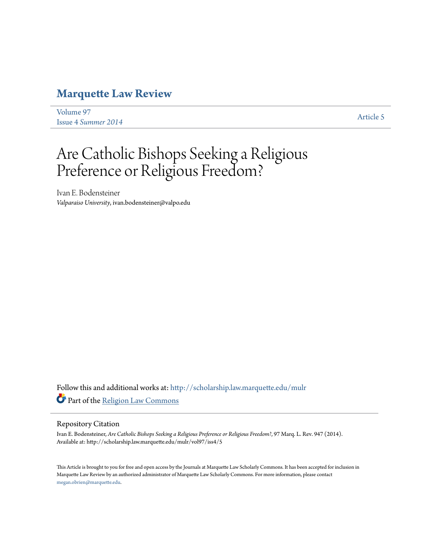# **[Marquette Law Review](http://scholarship.law.marquette.edu/mulr?utm_source=scholarship.law.marquette.edu%2Fmulr%2Fvol97%2Fiss4%2F5&utm_medium=PDF&utm_campaign=PDFCoverPages)**

[Volume 97](http://scholarship.law.marquette.edu/mulr/vol97?utm_source=scholarship.law.marquette.edu%2Fmulr%2Fvol97%2Fiss4%2F5&utm_medium=PDF&utm_campaign=PDFCoverPages) Issue 4 *[Summer 2014](http://scholarship.law.marquette.edu/mulr/vol97/iss4?utm_source=scholarship.law.marquette.edu%2Fmulr%2Fvol97%2Fiss4%2F5&utm_medium=PDF&utm_campaign=PDFCoverPages)* [Article 5](http://scholarship.law.marquette.edu/mulr/vol97/iss4/5?utm_source=scholarship.law.marquette.edu%2Fmulr%2Fvol97%2Fiss4%2F5&utm_medium=PDF&utm_campaign=PDFCoverPages)

# Are Catholic Bishops Seeking a Religious Preference or Religious Freedom?

Ivan E. Bodensteiner *Valparaiso University*, ivan.bodensteiner@valpo.edu

Follow this and additional works at: [http://scholarship.law.marquette.edu/mulr](http://scholarship.law.marquette.edu/mulr?utm_source=scholarship.law.marquette.edu%2Fmulr%2Fvol97%2Fiss4%2F5&utm_medium=PDF&utm_campaign=PDFCoverPages) Part of the [Religion Law Commons](http://network.bepress.com/hgg/discipline/872?utm_source=scholarship.law.marquette.edu%2Fmulr%2Fvol97%2Fiss4%2F5&utm_medium=PDF&utm_campaign=PDFCoverPages)

# Repository Citation

Ivan E. Bodensteiner, *Are Catholic Bishops Seeking a Religious Preference or Religious Freedom?*, 97 Marq. L. Rev. 947 (2014). Available at: http://scholarship.law.marquette.edu/mulr/vol97/iss4/5

This Article is brought to you for free and open access by the Journals at Marquette Law Scholarly Commons. It has been accepted for inclusion in Marquette Law Review by an authorized administrator of Marquette Law Scholarly Commons. For more information, please contact [megan.obrien@marquette.edu.](mailto:megan.obrien@marquette.edu)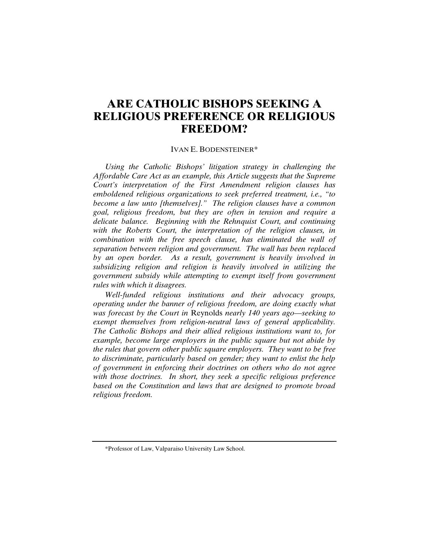# **ARE CATHOLIC BISHOPS SEEKING A RELIGIOUS PREFERENCE OR RELIGIOUS FREEDOM?**

### IVAN E. BODENSTEINER\*

*Using the Catholic Bishops' litigation strategy in challenging the Affordable Care Act as an example, this Article suggests that the Supreme Court's interpretation of the First Amendment religion clauses has emboldened religious organizations to seek preferred treatment, i.e., "to become a law unto [themselves]." The religion clauses have a common goal, religious freedom, but they are often in tension and require a delicate balance. Beginning with the Rehnquist Court, and continuing with the Roberts Court, the interpretation of the religion clauses, in combination with the free speech clause, has eliminated the wall of separation between religion and government. The wall has been replaced by an open border. As a result, government is heavily involved in subsidizing religion and religion is heavily involved in utilizing the government subsidy while attempting to exempt itself from government rules with which it disagrees.* 

*Well-funded religious institutions and their advocacy groups, operating under the banner of religious freedom, are doing exactly what was forecast by the Court in* Reynolds *nearly 140 years ago—seeking to exempt themselves from religion-neutral laws of general applicability. The Catholic Bishops and their allied religious institutions want to, for example, become large employers in the public square but not abide by the rules that govern other public square employers. They want to be free to discriminate, particularly based on gender; they want to enlist the help of government in enforcing their doctrines on others who do not agree with those doctrines. In short, they seek a specific religious preference based on the Constitution and laws that are designed to promote broad religious freedom.* 

 <sup>\*</sup>Professor of Law, Valparaiso University Law School.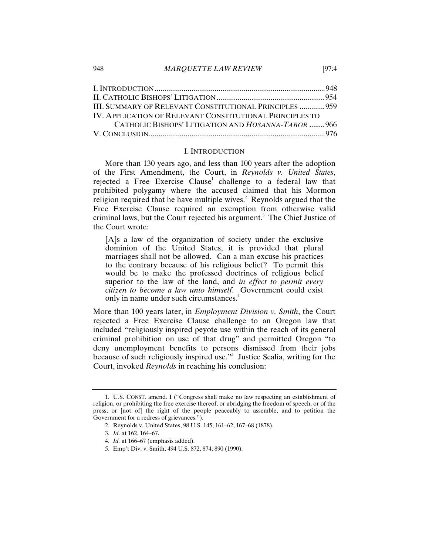| III. SUMMARY OF RELEVANT CONSTITUTIONAL PRINCIPLES  959  |  |
|----------------------------------------------------------|--|
| IV. APPLICATION OF RELEVANT CONSTITUTIONAL PRINCIPLES TO |  |
| CATHOLIC BISHOPS' LITIGATION AND HOSANNA-TABOR 966       |  |
|                                                          |  |

#### I. INTRODUCTION

More than 130 years ago, and less than 100 years after the adoption of the First Amendment, the Court, in *Reynolds v. United States*, rejected a Free Exercise Clause<sup>1</sup> challenge to a federal law that prohibited polygamy where the accused claimed that his Mormon religion required that he have multiple wives. $\degree$  Reynolds argued that the Free Exercise Clause required an exemption from otherwise valid criminal laws, but the Court rejected his argument.<sup>3</sup> The Chief Justice of the Court wrote:

[A]s a law of the organization of society under the exclusive dominion of the United States, it is provided that plural marriages shall not be allowed. Can a man excuse his practices to the contrary because of his religious belief? To permit this would be to make the professed doctrines of religious belief superior to the law of the land, and *in effect to permit every citizen to become a law unto himself*. Government could exist only in name under such circumstances.<sup>4</sup>

More than 100 years later, in *Employment Division v. Smith*, the Court rejected a Free Exercise Clause challenge to an Oregon law that included "religiously inspired peyote use within the reach of its general criminal prohibition on use of that drug" and permitted Oregon "to deny unemployment benefits to persons dismissed from their jobs because of such religiously inspired use."5 Justice Scalia, writing for the Court, invoked *Reynolds* in reaching his conclusion:

<sup>1.</sup> U.S. CONST. amend. I ("Congress shall make no law respecting an establishment of religion, or prohibiting the free exercise thereof; or abridging the freedom of speech, or of the press; or [not of] the right of the people peaceably to assemble, and to petition the Government for a redress of grievances.").

<sup>2.</sup> Reynolds v. United States, 98 U.S. 145, 161–62, 167–68 (1878).

<sup>3.</sup> *Id.* at 162, 164–67.

<sup>4.</sup> *Id.* at 166–67 (emphasis added).

<sup>5.</sup> Emp't Div. v. Smith, 494 U.S. 872, 874, 890 (1990).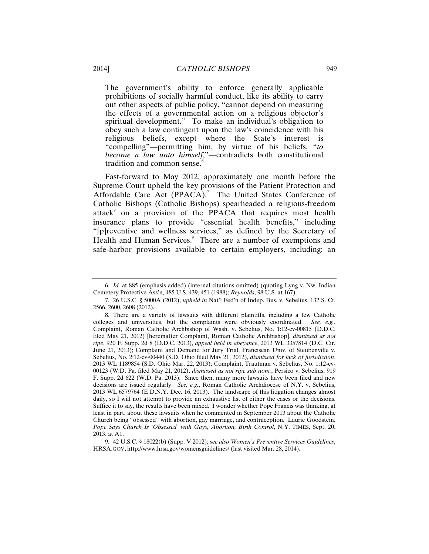The government's ability to enforce generally applicable prohibitions of socially harmful conduct, like its ability to carry out other aspects of public policy, "cannot depend on measuring the effects of a governmental action on a religious objector's spiritual development." To make an individual's obligation to obey such a law contingent upon the law's coincidence with his religious beliefs, except where the State's interest is "compelling"—permitting him, by virtue of his beliefs, "*to become a law unto himself*,"—contradicts both constitutional tradition and common sense.<sup>6</sup>

Fast-forward to May 2012, approximately one month before the Supreme Court upheld the key provisions of the Patient Protection and Affordable Care Act (PPACA).<sup>7</sup> The United States Conference of Catholic Bishops (Catholic Bishops) spearheaded a religious-freedom attack<sup>8</sup> on a provision of the PPACA that requires most health insurance plans to provide "essential health benefits," including "[p]reventive and wellness services," as defined by the Secretary of Health and Human Services.<sup>9</sup> There are a number of exemptions and safe-harbor provisions available to certain employers, including: an

9. 42 U.S.C. § 18022(b) (Supp. V 2012); *see also Women's Preventive Services Guidelines*, HRSA.GOV, http://www.hrsa.gov/womensguidelines/ (last visited Mar. 28, 2014).

<sup>6.</sup> *Id.* at 885 (emphasis added) (internal citations omitted) (quoting Lyng v. Nw. Indian Cemetery Protective Ass'n, 485 U.S. 439, 451 (1988); *Reynolds*, 98 U.S. at 167).

<sup>7. 26</sup> U.S.C. § 5000A (2012), *upheld in* Nat'l Fed'n of Indep. Bus. v. Sebelius, 132 S. Ct. 2566, 2600, 2608 (2012).

<sup>8.</sup> There are a variety of lawsuits with different plaintiffs, including a few Catholic colleges and universities, but the complaints were obviously coordinated. *See, e.g.*, Complaint, Roman Catholic Archbishop of Wash. v. Sebelius, No. 1:12-cv-00815 (D.D.C. filed May 21, 2012) [hereinafter Complaint, Roman Catholic Archbishop], *dismissed as not ripe*, 920 F. Supp. 2d 8 (D.D.C. 2013), *appeal held in abeyance*, 2013 WL 3357814 (D.C. Cir. June 21, 2013); Complaint and Demand for Jury Trial, Franciscan Univ. of Steubenville v. Sebelius, No. 2:12-cv-00440 (S.D. Ohio filed May 21, 2012), *dismissed for lack of jurisdiction*, 2013 WL 1189854 (S.D. Ohio Mar. 22, 2013); Complaint, Trautman v. Sebelius, No. 1:12-cv-00123 (W.D. Pa. filed May 21, 2012), *dismissed as not ripe sub nom.*, Persico v. Sebelius, 919 F. Supp. 2d 622 (W.D. Pa. 2013). Since then, many more lawsuits have been filed and new decisions are issued regularly. *See, e.g.*, Roman Catholic Archdiocese of N.Y. v. Sebelius, 2013 WL 6579764 (E.D.N.Y. Dec. 16, 2013). The landscape of this litigation changes almost daily, so I will not attempt to provide an exhaustive list of either the cases or the decisions. Suffice it to say, the results have been mixed. I wonder whether Pope Francis was thinking, at least in part, about these lawsuits when he commented in September 2013 about the Catholic Church being "obsessed" with abortion, gay marriage, and contraception. Laurie Goodstein, *Pope Says Church Is 'Obsessed' with Gays, Abortion, Birth Control*, N.Y. TIMES, Sept. 20, 2013, at A1.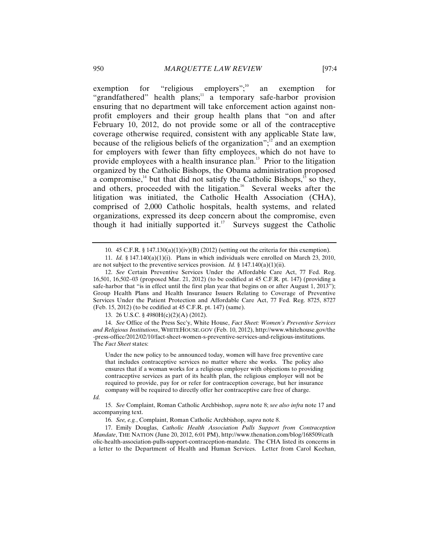exemption for "religious employers"; $^{10}$  an exemption for "grandfathered" health plans;<sup>11</sup> a temporary safe-harbor provision ensuring that no department will take enforcement action against nonprofit employers and their group health plans that "on and after February 10, 2012, do not provide some or all of the contraceptive coverage otherwise required, consistent with any applicable State law, because of the religious beliefs of the organization"; $\frac{1}{2}$  and an exemption for employers with fewer than fifty employees, which do not have to provide employees with a health insurance plan.<sup>13</sup> Prior to the litigation organized by the Catholic Bishops, the Obama administration proposed a compromise, $14$  but that did not satisfy the Catholic Bishops, $15$  so they, and others, proceeded with the litigation.<sup>16</sup> Several weeks after the litigation was initiated, the Catholic Health Association (CHA), comprised of 2,000 Catholic hospitals, health systems, and related organizations, expressed its deep concern about the compromise, even though it had initially supported it.<sup>17</sup> Surveys suggest the Catholic

13. 26 U.S.C. § 4980H(c)(2)(A) (2012).

14. *See* Office of the Press Sec'y, White House, *Fact Sheet: Women's Preventive Services and Religious Institutions*, WHITEHOUSE.GOV (Feb. 10, 2012), http://www.whitehouse.gov/the -press-office/2012/02/10/fact-sheet-women-s-preventive-services-and-religious-institutions. The *Fact Sheet* states:

Under the new policy to be announced today, women will have free preventive care that includes contraceptive services no matter where she works. The policy also ensures that if a woman works for a religious employer with objections to providing contraceptive services as part of its health plan, the religious employer will not be required to provide, pay for or refer for contraception coverage, but her insurance company will be required to directly offer her contraceptive care free of charge.

*Id.*

<sup>10. 45</sup> C.F.R. § 147.130(a)(1)(iv)(B) (2012) (setting out the criteria for this exemption).

<sup>11.</sup> *Id.* § 147.140(a)(1)(i). Plans in which individuals were enrolled on March 23, 2010, are not subject to the preventive services provision. *Id.* § 147.140(a)(1)(ii).

<sup>12.</sup> *See* Certain Preventive Services Under the Affordable Care Act, 77 Fed. Reg. 16,501, 16,502–03 (proposed Mar. 21, 2012) (to be codified at 45 C.F.R. pt. 147) (providing a safe-harbor that "is in effect until the first plan year that begins on or after August 1, 2013"); Group Health Plans and Health Insurance Issuers Relating to Coverage of Preventive Services Under the Patient Protection and Affordable Care Act, 77 Fed. Reg. 8725, 8727 (Feb. 15, 2012) (to be codified at 45 C.F.R. pt. 147) (same).

<sup>15.</sup> *See* Complaint, Roman Catholic Archbishop, *supra* note 8; *see also infra* note 17 and accompanying text.

<sup>16.</sup> *See, e.g.*, Complaint, Roman Catholic Archbishop, *supra* note 8.

<sup>17.</sup> Emily Douglas, *Catholic Health Association Pulls Support from Contraception Mandate*, THE NATION (June 20, 2012, 6:01 PM), http://www.thenation.com/blog/168509/cath olic-health-association-pulls-support-contraception-mandate. The CHA listed its concerns in a letter to the Department of Health and Human Services. Letter from Carol Keehan,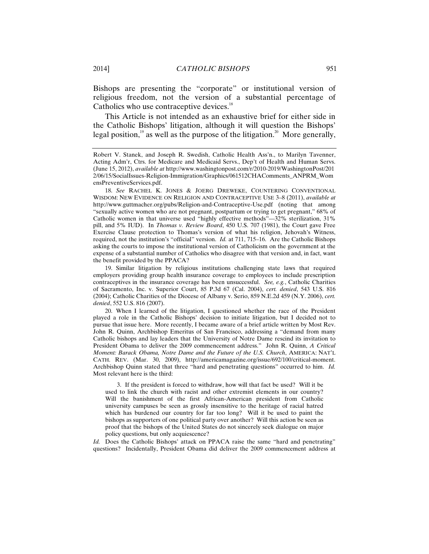Bishops are presenting the "corporate" or institutional version of religious freedom, not the version of a substantial percentage of Catholics who use contraceptive devices.<sup>18</sup>

This Article is not intended as an exhaustive brief for either side in the Catholic Bishops' litigation, although it will question the Bishops' legal position,<sup>19</sup> as well as the purpose of the litigation.<sup>20</sup> More generally,

19. Similar litigation by religious institutions challenging state laws that required employers providing group health insurance coverage to employees to include prescription contraceptives in the insurance coverage has been unsuccessful. *See, e.g.*, Catholic Charities of Sacramento, Inc. v. Superior Court, 85 P.3d 67 (Cal. 2004), *cert. denied*, 543 U.S. 816 (2004); Catholic Charities of the Diocese of Albany v. Serio, 859 N.E.2d 459 (N.Y. 2006), *cert. denied*, 552 U.S. 816 (2007).

20. When I learned of the litigation, I questioned whether the race of the President played a role in the Catholic Bishops' decision to initiate litigation, but I decided not to pursue that issue here. More recently, I became aware of a brief article written by Most Rev. John R. Quinn, Archbishop Emeritus of San Francisco, addressing a "demand from many Catholic bishops and lay leaders that the University of Notre Dame rescind its invitation to President Obama to deliver the 2009 commencement address." John R. Quinn, *A Critical Moment: Barack Obama, Notre Dame and the Future of the U.S. Church*, AMERICA: NAT'L CATH. REV. (Mar. 30, 2009), http://americamagazine.org/issue/692/100/critical-moment. Archbishop Quinn stated that three "hard and penetrating questions" occurred to him. *Id.* Most relevant here is the third:

 3. If the president is forced to withdraw, how will that fact be used? Will it be used to link the church with racist and other extremist elements in our country? Will the banishment of the first African-American president from Catholic university campuses be seen as grossly insensitive to the heritage of racial hatred which has burdened our country for far too long? Will it be used to paint the bishops as supporters of one political party over another? Will this action be seen as proof that the bishops of the United States do not sincerely seek dialogue on major policy questions, but only acquiescence?

*Id.* Does the Catholic Bishops' attack on PPACA raise the same "hard and penetrating" questions? Incidentally, President Obama did deliver the 2009 commencement address at

Robert V. Stanek, and Joseph R. Swedish, Catholic Health Ass'n., to Marilyn Tavenner, Acting Adm'r, Ctrs. for Medicare and Medicaid Servs., Dep't of Health and Human Servs. (June 15, 2012), *available at* http://www.washingtonpost.com/r/2010-2019/WashingtonPost/201 2/06/15/SocialIssues-Religion-Immigration/Graphics/061512CHAComments\_ANPRM\_Wom ensPreventiveServices.pdf.

<sup>18.</sup> *See* RACHEL K. JONES & JOERG DREWEKE, COUNTERING CONVENTIONAL WISDOM: NEW EVIDENCE ON RELIGION AND CONTRACEPTIVE USE 3–8 (2011), *available at* http://www.guttmacher.org/pubs/Religion-and-Contraceptive-Use.pdf (noting that among "sexually active women who are not pregnant, postpartum or trying to get pregnant," 68% of Catholic women in that universe used "highly effective methods"—32% sterilization, 31% pill, and 5% IUD). In *Thomas v. Review Board*, 450 U.S. 707 (1981), the Court gave Free Exercise Clause protection to Thomas's version of what his religion, Jehovah's Witness, required, not the institution's "official" version. *Id.* at 711, 715–16. Are the Catholic Bishops asking the courts to impose the institutional version of Catholicism on the government at the expense of a substantial number of Catholics who disagree with that version and, in fact, want the benefit provided by the PPACA?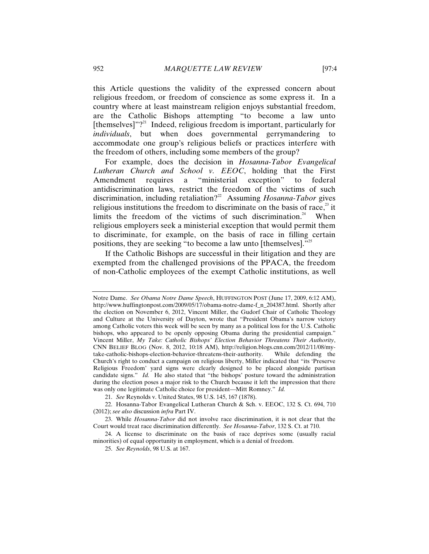this Article questions the validity of the expressed concern about religious freedom, or freedom of conscience as some express it. In a country where at least mainstream religion enjoys substantial freedom, are the Catholic Bishops attempting "to become a law unto [themselves]"? $^{21}$  Indeed, religious freedom is important, particularly for *individuals*, but when does governmental gerrymandering to accommodate one group's religious beliefs or practices interfere with the freedom of others, including some members of the group?

For example, does the decision in *Hosanna-Tabor Evangelical Lutheran Church and School v. EEOC*, holding that the First Amendment requires a "ministerial exception" to federal antidiscrimination laws, restrict the freedom of the victims of such discrimination, including retaliation?22 Assuming *Hosanna-Tabor* gives religious institutions the freedom to discriminate on the basis of race, $23$  it limits the freedom of the victims of such discrimination.<sup>24</sup> When religious employers seek a ministerial exception that would permit them to discriminate, for example, on the basis of race in filling certain positions, they are seeking "to become a law unto [themselves]."<sup>25</sup>

If the Catholic Bishops are successful in their litigation and they are exempted from the challenged provisions of the PPACA, the freedom of non-Catholic employees of the exempt Catholic institutions, as well

Notre Dame. *See Obama Notre Dame Speech*, HUFFINGTON POST (June 17, 2009, 6:12 AM), http://www.huffingtonpost.com/2009/05/17/obama-notre-dame-f\_n\_204387.html. Shortly after the election on November 6, 2012, Vincent Miller, the Gudorf Chair of Catholic Theology and Culture at the University of Dayton, wrote that "President Obama's narrow victory among Catholic voters this week will be seen by many as a political loss for the U.S. Catholic bishops, who appeared to be openly opposing Obama during the presidential campaign." Vincent Miller, *My Take: Catholic Bishops' Election Behavior Threatens Their Authority*, CNN BELIEF BLOG (Nov. 8, 2012, 10:18 AM), http://religion.blogs.cnn.com/2012/11/08/mytake-catholic-bishops-election-behavior-threatens-their-authority. While defending the Church's right to conduct a campaign on religious liberty, Miller indicated that "its 'Preserve Religious Freedom' yard signs were clearly designed to be placed alongside partisan candidate signs." *Id.* He also stated that "the bishops' posture toward the administration during the election poses a major risk to the Church because it left the impression that there was only one legitimate Catholic choice for president—Mitt Romney." *Id.*

<sup>21.</sup> *See* Reynolds v. United States, 98 U.S. 145, 167 (1878).

<sup>22.</sup> Hosanna-Tabor Evangelical Lutheran Church & Sch. v. EEOC, 132 S. Ct. 694, 710 (2012); *see also* discussion *infra* Part IV.

<sup>23.</sup> While *Hosanna-Tabor* did not involve race discrimination, it is not clear that the Court would treat race discrimination differently. *See Hosanna-Tabor*, 132 S. Ct. at 710.

<sup>24.</sup> A license to discriminate on the basis of race deprives some (usually racial minorities) of equal opportunity in employment, which is a denial of freedom.

<sup>25.</sup> *See Reynolds*, 98 U.S. at 167.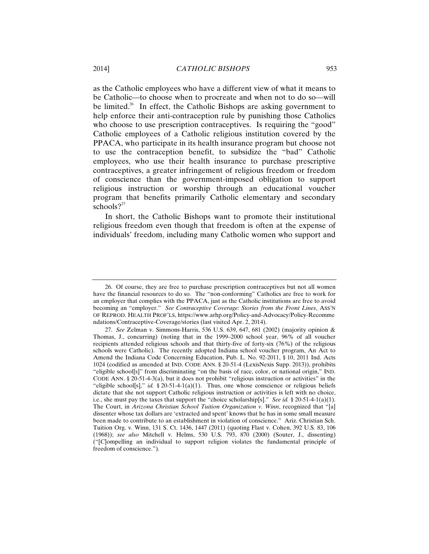as the Catholic employees who have a different view of what it means to be Catholic—to choose when to procreate and when not to do so—will be limited.<sup>26</sup> In effect, the Catholic Bishops are asking government to help enforce their anti-contraception rule by punishing those Catholics who choose to use prescription contraceptives. Is requiring the "good" Catholic employees of a Catholic religious institution covered by the PPACA, who participate in its health insurance program but choose not to use the contraception benefit, to subsidize the "bad" Catholic employees, who use their health insurance to purchase prescriptive contraceptives, a greater infringement of religious freedom or freedom of conscience than the government-imposed obligation to support religious instruction or worship through an educational voucher program that benefits primarily Catholic elementary and secondary schools? $2^{27}$ 

In short, the Catholic Bishops want to promote their institutional religious freedom even though that freedom is often at the expense of individuals' freedom, including many Catholic women who support and

<sup>26.</sup> Of course, they are free to purchase prescription contraceptives but not all women have the financial resources to do so. The "non-conforming" Catholics are free to work for an employer that complies with the PPACA, just as the Catholic institutions are free to avoid becoming an "employer." *See Contraceptive Coverage: Stories from the Front Lines*, ASS'N OF REPROD. HEALTH PROF'LS, https://www.arhp.org/Policy-and-Advocacy/Policy-Recomme ndations/Contraceptive-Coverage/stories (last visited Apr. 2, 2014).

<sup>27.</sup> *See* Zelman v. Simmons-Harris, 536 U.S. 639, 647, 681 (2002) (majority opinion & Thomas, J., concurring) (noting that in the 1999–2000 school year, 96% of all voucher recipients attended religious schools and that thirty-five of forty-six (76%) of the religious schools were Catholic). The recently adopted Indiana school voucher program, An Act to Amend the Indiana Code Concerning Education, Pub. L. No. 92-2011, § 10, 2011 Ind. Acts 1024 (codified as amended at IND. CODE ANN. § 20-51-4 (LexisNexis Supp. 2013)), prohibits "eligible school[s]" from discriminating "on the basis of race, color, or national origin," IND. CODE ANN. § 20-51-4-3(a), but it does not prohibit "religious instruction or activities" in the "eligible school[s]," *id.* § 20-51-4-1(a)(1). Thus, one whose conscience or religious beliefs dictate that she not support Catholic religious instruction or activities is left with no choice, i.e., she must pay the taxes that support the "choice scholarship[s]." *See id.* § 20-51-4-1(a)(1). The Court, in *Arizona Christian School Tuition Organization v. Winn*, recognized that "[a] dissenter whose tax dollars are 'extracted and spent' knows that he has in some small measure been made to contribute to an establishment in violation of conscience." Ariz. Christian Sch. Tuition Org. v. Winn, 131 S. Ct. 1436, 1447 (2011) (quoting Flast v. Cohen, 392 U.S. 83, 106 (1968)); *see also* Mitchell v. Helms, 530 U.S. 793, 870 (2000) (Souter, J., dissenting) ("[C]ompelling an individual to support religion violates the fundamental principle of freedom of conscience.").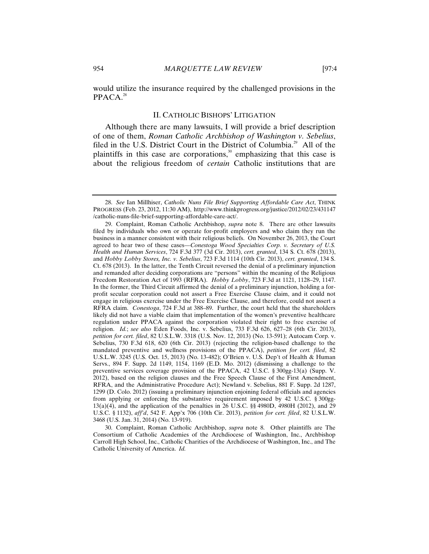would utilize the insurance required by the challenged provisions in the  $PPACA.<sup>28</sup>$ 

## II. CATHOLIC BISHOPS' LITIGATION

Although there are many lawsuits, I will provide a brief description of one of them, *Roman Catholic Archbishop of Washington v. Sebelius*, filed in the U.S. District Court in the District of Columbia.<sup>29</sup> All of the plaintiffs in this case are corporations, $30$  emphasizing that this case is about the religious freedom of *certain* Catholic institutions that are

<sup>28.</sup> *See* Ian Millhiser, *Catholic Nuns File Brief Supporting Affordable Care Act*, THINK PROGRESS (Feb. 23, 2012, 11:30 AM), http://www.thinkprogress.org/justice/2012/02/23/431147 /catholic-nuns-file-brief-supporting-affordable-care-act/.

<sup>29.</sup> Complaint, Roman Catholic Archbishop, *supra* note 8. There are other lawsuits filed by individuals who own or operate for-profit employers and who claim they run the business in a manner consistent with their religious beliefs. On November 26, 2013, the Court agreed to hear two of these cases—*Conestoga Wood Specialties Corp. v. Secretary of U.S. Health and Human Services*, 724 F.3d 377 (3d Cir. 2013), *cert. granted*, 134 S. Ct. 678 (2013), and *Hobby Lobby Stores, Inc. v. Sebelius*, 723 F.3d 1114 (10th Cir. 2013), *cert. granted*, 134 S. Ct. 678 (2013). In the latter, the Tenth Circuit reversed the denial of a preliminary injunction and remanded after deciding corporations are "persons" within the meaning of the Religious Freedom Restoration Act of 1993 (RFRA). *Hobby Lobby*, 723 F.3d at 1121, 1128–29, 1147. In the former, the Third Circuit affirmed the denial of a preliminary injunction, holding a forprofit secular corporation could not assert a Free Exercise Clause claim, and it could not engage in religious exercise under the Free Exercise Clause, and therefore, could not assert a RFRA claim. *Conestoga*, 724 F.3d at 388–89. Further, the court held that the shareholders likely did not have a viable claim that implementation of the women's preventive healthcare regulation under PPACA against the corporation violated their right to free exercise of religion. *Id.*; *see also* Eden Foods, Inc. v. Sebelius, 733 F.3d 626, 627–28 (6th Cir. 2013), *petition for cert. filed*, 82 U.S.L.W. 3318 (U.S. Nov. 12, 2013) (No. 13-591); Autocam Corp. v. Sebelius, 730 F.3d 618, 620 (6th Cir. 2013) (rejecting the religion-based challenge to the mandated preventive and wellness provisions of the PPACA), *petition for cert. filed*, 82 U.S.L.W. 3245 (U.S. Oct. 15, 2013) (No. 13-482); O'Brien v. U.S. Dep't of Health & Human Servs., 894 F. Supp. 2d 1149, 1154, 1169 (E.D. Mo. 2012) (dismissing a challenge to the preventive services coverage provision of the PPACA, 42 U.S.C. § 300gg-13(a) (Supp. V. 2012), based on the religion clauses and the Free Speech Clause of the First Amendment, RFRA, and the Administrative Procedure Act); Newland v. Sebelius, 881 F. Supp. 2d 1287, 1299 (D. Colo. 2012) (issuing a preliminary injunction enjoining federal officials and agencies from applying or enforcing the substantive requirement imposed by 42 U.S.C. § 300gg-13(a)(4), and the application of the penalties in 26 U.S.C. §§ 4980D, 4980H (2012), and 29 U.S.C. § 1132), *aff'd*, 542 F. App'x 706 (10th Cir. 2013), *petition for cert. filed*, 82 U.S.L.W. 3468 (U.S. Jan. 31, 2014) (No. 13-919).

<sup>30.</sup> Complaint, Roman Catholic Archbishop, *supra* note 8. Other plaintiffs are The Consortium of Catholic Academies of the Archdiocese of Washington, Inc., Archbishop Carroll High School, Inc., Catholic Charities of the Archdiocese of Washington, Inc., and The Catholic University of America. *Id.*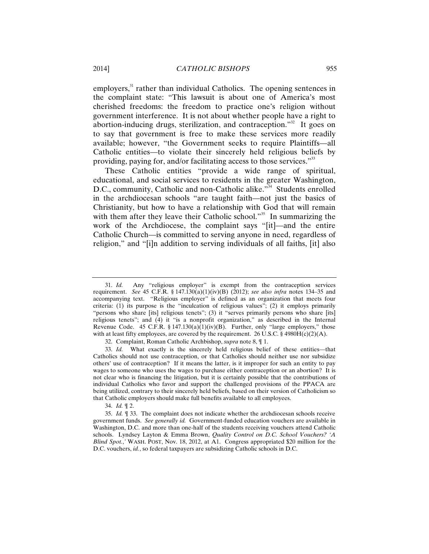employers,<sup>31</sup> rather than individual Catholics. The opening sentences in the complaint state: "This lawsuit is about one of America's most cherished freedoms: the freedom to practice one's religion without government interference. It is not about whether people have a right to abortion-inducing drugs, sterilization, and contraception. $1^{32}$  It goes on to say that government is free to make these services more readily available; however, "the Government seeks to require Plaintiffs—all Catholic entities—to violate their sincerely held religious beliefs by providing, paying for, and/or facilitating access to those services."33

These Catholic entities "provide a wide range of spiritual, educational, and social services to residents in the greater Washington, D.C., community, Catholic and non-Catholic alike.<sup>"34</sup> Students enrolled in the archdiocesan schools "are taught faith—not just the basics of Christianity, but how to have a relationship with God that will remain with them after they leave their Catholic school."<sup>35</sup> In summarizing the work of the Archdiocese, the complaint says "[it]—and the entire Catholic Church—is committed to serving anyone in need, regardless of religion," and "[i]n addition to serving individuals of all faiths, [it] also

<sup>31.</sup> *Id.* Any "religious employer" is exempt from the contraception services requirement. *See* 45 C.F.R. § 147.130(a)(1)(iv)(B) (2012); *see also infra* notes 134–35 and accompanying text. "Religious employer" is defined as an organization that meets four criteria: (1) its purpose is the "inculcation of religious values"; (2) it employs primarily "persons who share [its] religious tenets"; (3) it "serves primarily persons who share [its] religious tenets"; and (4) it "is a nonprofit organization," as described in the Internal Revenue Code. 45 C.F.R. § 147.130(a)(1)(iv)(B). Further, only "large employers," those with at least fifty employees, are covered by the requirement. 26 U.S.C. § 4980H(c)(2)(A).

<sup>32.</sup> Complaint, Roman Catholic Archbishop, *supra* note 8, ¶ 1.

<sup>33.</sup> *Id.* What exactly is the sincerely held religious belief of these entities—that Catholics should not use contraception, or that Catholics should neither use nor subsidize others' use of contraception? If it means the latter, is it improper for such an entity to pay wages to someone who uses the wages to purchase either contraception or an abortion? It is not clear who is financing the litigation, but it is certainly possible that the contributions of individual Catholics who favor and support the challenged provisions of the PPACA are being utilized, contrary to their sincerely held beliefs, based on their version of Catholicism so that Catholic employers should make full benefits available to all employees.

<sup>34.</sup> *Id.* ¶ 2.

<sup>35.</sup> *Id.* ¶ 33. The complaint does not indicate whether the archdiocesan schools receive government funds. *See generally id.* Government-funded education vouchers are available in Washington, D.C. and more than one-half of the students receiving vouchers attend Catholic schools. Lyndsey Layton & Emma Brown, *Quality Control on D.C. School Vouchers? 'A Blind Spot.*,*'* WASH. POST, Nov. 18, 2012, at A1. Congress appropriated \$20 million for the D.C. vouchers, *id.*, so federal taxpayers are subsidizing Catholic schools in D.C.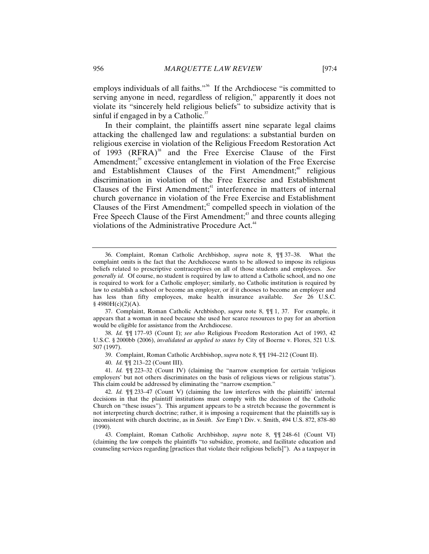employs individuals of all faiths."<sup>36</sup> If the Archdiocese "is committed to serving anyone in need, regardless of religion," apparently it does not violate its "sincerely held religious beliefs" to subsidize activity that is sinful if engaged in by a Catholic. $37$ 

In their complaint, the plaintiffs assert nine separate legal claims attacking the challenged law and regulations: a substantial burden on religious exercise in violation of the Religious Freedom Restoration Act of  $1993$  (RFRA)<sup>38</sup> and the Free Exercise Clause of the First Amendment;<sup>39</sup> excessive entanglement in violation of the Free Exercise and Establishment Clauses of the First Amendment;<sup>40</sup> religious discrimination in violation of the Free Exercise and Establishment Clauses of the First Amendment; $4$  interference in matters of internal church governance in violation of the Free Exercise and Establishment Clauses of the First Amendment; $42$  compelled speech in violation of the Free Speech Clause of the First Amendment;<sup>43</sup> and three counts alleging violations of the Administrative Procedure Act.<sup>44</sup>

39. Complaint, Roman Catholic Archbishop, *supra* note 8, ¶¶ 194–212 (Count II).

<sup>36.</sup> Complaint, Roman Catholic Archbishop, *supra* note 8, ¶¶ 37–38. What the complaint omits is the fact that the Archdiocese wants to be allowed to impose its religious beliefs related to prescriptive contraceptives on all of those students and employees. *See generally id.* Of course, no student is required by law to attend a Catholic school, and no one is required to work for a Catholic employer; similarly, no Catholic institution is required by law to establish a school or become an employer, or if it chooses to become an employer and has less than fifty employees, make health insurance available. *See* 26 U.S.C.  $§$  4980H(c)(2)(A).

<sup>37.</sup> Complaint, Roman Catholic Archbishop, *supra* note 8, ¶¶ 1, 37. For example, it appears that a woman in need because she used her scarce resources to pay for an abortion would be eligible for assistance from the Archdiocese.

<sup>38.</sup> *Id.* ¶¶ 177–93 (Count I); *see also* Religious Freedom Restoration Act of 1993, 42 U.S.C. § 2000bb (2006), *invalidated as applied to states by* City of Boerne v. Flores, 521 U.S. 507 (1997).

<sup>40.</sup> *Id.* ¶¶ 213–22 (Count III).

<sup>41.</sup> *Id.* ¶¶ 223–32 (Count IV) (claiming the "narrow exemption for certain 'religious employers' but not others discriminates on the basis of religious views or religious status"). This claim could be addressed by eliminating the "narrow exemption."

<sup>42.</sup> *Id.* ¶¶ 233–47 (Count V) (claiming the law interferes with the plaintiffs' internal decisions in that the plaintiff institutions must comply with the decision of the Catholic Church on "these issues"). This argument appears to be a stretch because the government is not interpreting church doctrine; rather, it is imposing a requirement that the plaintiffs say is inconsistent with church doctrine, as in *Smith*. *See* Emp't Div. v. Smith, 494 U.S. 872, 878–80 (1990).

<sup>43.</sup> Complaint, Roman Catholic Archbishop, *supra* note 8, ¶¶ 248–61 (Count VI) (claiming the law compels the plaintiffs "to subsidize, promote, and facilitate education and counseling services regarding [practices that violate their religious beliefs]"). As a taxpayer in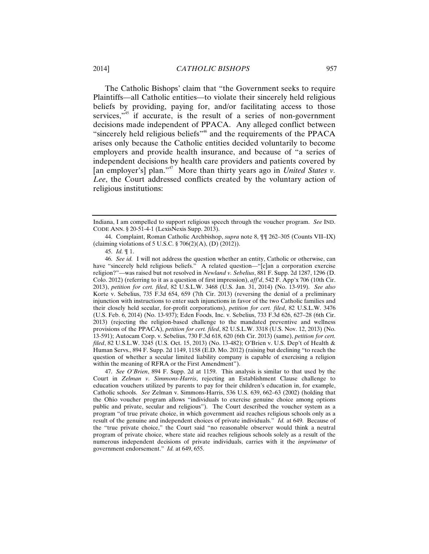The Catholic Bishops' claim that "the Government seeks to require Plaintiffs—all Catholic entities—to violate their sincerely held religious beliefs by providing, paying for, and/or facilitating access to those services, $145$  if accurate, is the result of a series of non-government decisions made independent of PPACA. Any alleged conflict between "sincerely held religious beliefs"<sup>46</sup> and the requirements of the PPACA arises only because the Catholic entities decided voluntarily to become employers and provide health insurance, and because of "a series of independent decisions by health care providers and patients covered by [an employer's] plan."<sup>47</sup> More than thirty years ago in *United States v*. *Lee*, the Court addressed conflicts created by the voluntary action of religious institutions:

Indiana, I am compelled to support religious speech through the voucher program. *See* IND. CODE ANN. § 20-51-4-1 (LexisNexis Supp. 2013).

<sup>44.</sup> Complaint, Roman Catholic Archbishop, *supra* note 8, ¶¶ 262–305 (Counts VII–IX) (claiming violations of 5 U.S.C. § 706(2)(A), (D) (2012)).

<sup>45.</sup> *Id.* ¶ 1.

<sup>46.</sup> *See id.* I will not address the question whether an entity, Catholic or otherwise, can have "sincerely held religious beliefs." A related question—"[c]an a corporation exercise religion?"—was raised but not resolved in *Newland v. Sebelius*, 881 F. Supp. 2d 1287, 1296 (D. Colo. 2012) (referring to it as a question of first impression), *aff'd*, 542 F. App'x 706 (10th Cir. 2013), *petition for cert. filed*, 82 U.S.L.W. 3468 (U.S. Jan. 31, 2014) (No. 13-919). *See also* Korte v. Sebelius, 735 F.3d 654, 659 (7th Cir. 2013) (reversing the denial of a preliminary injunction with instructions to enter such injunctions in favor of the two Catholic families and their closely held secular, for-profit corporations), *petition for cert. filed*, 82 U.S.L.W. 3476 (U.S. Feb. 6, 2014) (No. 13-937); Eden Foods, Inc. v. Sebelius, 733 F.3d 626, 627–28 (6th Cir. 2013) (rejecting the religion-based challenge to the mandated preventive and wellness provisions of the PPACA), *petition for cert. filed*, 82 U.S.L.W. 3318 (U.S. Nov. 12, 2013) (No. 13-591); Autocam Corp. v. Sebelius, 730 F.3d 618, 620 (6th Cir. 2013) (same), *petition for cert. filed*, 82 U.S.L.W. 3245 (U.S. Oct. 15, 2013) (No. 13-482); O'Brien v. U.S. Dep't of Health & Human Servs., 894 F. Supp. 2d 1149, 1158 (E.D. Mo. 2012) (raising but declining "to reach the question of whether a secular limited liability company is capable of exercising a religion within the meaning of RFRA or the First Amendment").

<sup>47.</sup> *See O'Brien*, 894 F. Supp. 2d at 1159. This analysis is similar to that used by the Court in *Zelman v. Simmons-Harris*, rejecting an Establishment Clause challenge to education vouchers utilized by parents to pay for their children's education in, for example, Catholic schools. *See* Zelman v. Simmons-Harris, 536 U.S. 639, 662–63 (2002) (holding that the Ohio voucher program allows "individuals to exercise genuine choice among options public and private, secular and religious"). The Court described the voucher system as a program "of true private choice, in which government aid reaches religious schools only as a result of the genuine and independent choices of private individuals." *Id.* at 649. Because of the "true private choice," the Court said "no reasonable observer would think a neutral program of private choice, where state aid reaches religious schools solely as a result of the numerous independent decisions of private individuals, carries with it the *imprimatur* of government endorsement." *Id.* at 649, 655.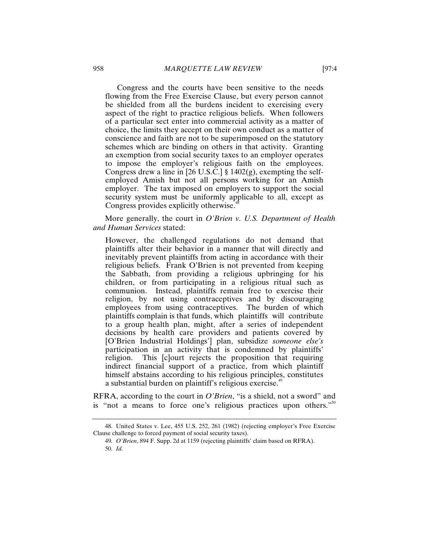Congress and the courts have been sensitive to the needs flowing from the Free Exercise Clause, but every person cannot be shielded from all the burdens incident to exercising every aspect of the right to practice religious beliefs. When followers of a particular sect enter into commercial activity as a matter of choice, the limits they accept on their own conduct as a matter of conscience and faith are not to be superimposed on the statutory schemes which are binding on others in that activity. Granting an exemption from social security taxes to an employer operates to impose the employer's religious faith on the employees. Congress drew a line in [26 U.S.C.]  $\S 1402(g)$ , exempting the selfemployed Amish but not all persons working for an Amish employer. The tax imposed on employers to support the social security system must be uniformly applicable to all, except as Congress provides explicitly otherwise.<sup>4</sup>

More generally, the court in *O'Brien v. U.S. Department of Health and Human Services* stated:

However, the challenged regulations do not demand that plaintiffs alter their behavior in a manner that will directly and inevitably prevent plaintiffs from acting in accordance with their religious beliefs. Frank O'Brien is not prevented from keeping the Sabbath, from providing a religious upbringing for his children, or from participating in a religious ritual such as communion. Instead, plaintiffs remain free to exercise their religion, by not using contraceptives and by discouraging employees from using contraceptives. The burden of which plaintiffs complain is that funds, which plaintiffs will contribute to a group health plan, might, after a series of independent decisions by health care providers and patients covered by [O'Brien Industrial Holdings'] plan, subsidize *someone else's* participation in an activity that is condemned by plaintiffs' religion. This [c]ourt rejects the proposition that requiring indirect financial support of a practice, from which plaintiff himself abstains according to his religious principles, constitutes a substantial burden on plaintiff's religious exercise.<sup>49</sup>

RFRA, according to the court in *O'Brien*, "is a shield, not a sword" and is "not a means to force one's religious practices upon others."<sup>50</sup>

<sup>48.</sup> United States v. Lee, 455 U.S. 252, 261 (1982) (rejecting employer's Free Exercise Clause challenge to forced payment of social security taxes).

<sup>49.</sup> *O'Brien*, 894 F. Supp. 2d at 1159 (rejecting plaintiffs' claim based on RFRA). 50. *Id.*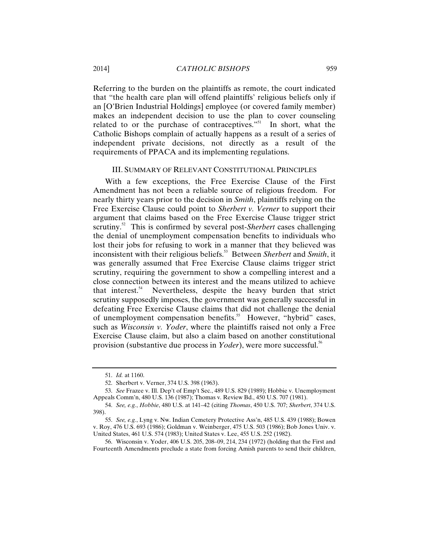Referring to the burden on the plaintiffs as remote, the court indicated that "the health care plan will offend plaintiffs' religious beliefs only if an [O'Brien Industrial Holdings] employee (or covered family member) makes an independent decision to use the plan to cover counseling related to or the purchase of contraceptives."<sup>51</sup> In short, what the Catholic Bishops complain of actually happens as a result of a series of independent private decisions, not directly as a result of the requirements of PPACA and its implementing regulations.

## III. SUMMARY OF RELEVANT CONSTITUTIONAL PRINCIPLES

With a few exceptions, the Free Exercise Clause of the First Amendment has not been a reliable source of religious freedom. For nearly thirty years prior to the decision in *Smith*, plaintiffs relying on the Free Exercise Clause could point to *Sherbert v. Verner* to support their argument that claims based on the Free Exercise Clause trigger strict scrutiny.<sup>52</sup> This is confirmed by several post-*Sherbert* cases challenging the denial of unemployment compensation benefits to individuals who lost their jobs for refusing to work in a manner that they believed was inconsistent with their religious beliefs.<sup>53</sup> Between *Sherbert* and *Smith*, it was generally assumed that Free Exercise Clause claims trigger strict scrutiny, requiring the government to show a compelling interest and a close connection between its interest and the means utilized to achieve that interest.<sup>54</sup> Nevertheless, despite the heavy burden that strict scrutiny supposedly imposes, the government was generally successful in defeating Free Exercise Clause claims that did not challenge the denial of unemployment compensation benefits.<sup>55</sup> However, "hybrid" cases, such as *Wisconsin v. Yoder*, where the plaintiffs raised not only a Free Exercise Clause claim, but also a claim based on another constitutional provision (substantive due process in *Yoder*), were more successful.<sup>56</sup>

<sup>51.</sup> *Id.* at 1160.

<sup>52.</sup> Sherbert v. Verner, 374 U.S. 398 (1963).

<sup>53.</sup> *See* Frazee v. Ill. Dep't of Emp't Sec., 489 U.S. 829 (1989); Hobbie v. Unemployment Appeals Comm'n, 480 U.S. 136 (1987); Thomas v. Review Bd., 450 U.S. 707 (1981).

<sup>54.</sup> *See, e.g.*, *Hobbie*, 480 U.S. at 141–42 (citing *Thomas*, 450 U.S. 707; *Sherbert*, 374 U.S. 398).

<sup>55.</sup> *See, e.g.*, Lyng v. Nw. Indian Cemetery Protective Ass'n, 485 U.S. 439 (1988); Bowen v. Roy, 476 U.S. 693 (1986); Goldman v. Weinberger, 475 U.S. 503 (1986); Bob Jones Univ. v. United States, 461 U.S. 574 (1983); United States v. Lee, 455 U.S. 252 (1982).

<sup>56.</sup> Wisconsin v. Yoder, 406 U.S. 205, 208–09, 214, 234 (1972) (holding that the First and Fourteenth Amendments preclude a state from forcing Amish parents to send their children,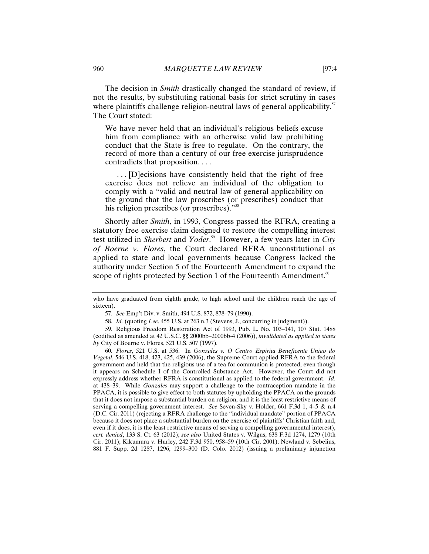The decision in *Smith* drastically changed the standard of review, if not the results, by substituting rational basis for strict scrutiny in cases where plaintiffs challenge religion-neutral laws of general applicability.<sup>57</sup> The Court stated:

We have never held that an individual's religious beliefs excuse him from compliance with an otherwise valid law prohibiting conduct that the State is free to regulate. On the contrary, the record of more than a century of our free exercise jurisprudence contradicts that proposition. . . .

 . . . [D]ecisions have consistently held that the right of free exercise does not relieve an individual of the obligation to comply with a "valid and neutral law of general applicability on the ground that the law proscribes (or prescribes) conduct that his religion prescribes (or proscribes)."<sup>58</sup>

Shortly after *Smith*, in 1993, Congress passed the RFRA, creating a statutory free exercise claim designed to restore the compelling interest test utilized in *Sherbert* and *Yoder*. 59 However, a few years later in *City of Boerne v. Flores*, the Court declared RFRA unconstitutional as applied to state and local governments because Congress lacked the authority under Section 5 of the Fourteenth Amendment to expand the scope of rights protected by Section 1 of the Fourteenth Amendment.<sup>60</sup>

who have graduated from eighth grade, to high school until the children reach the age of sixteen).

<sup>57.</sup> *See* Emp't Div. v. Smith, 494 U.S. 872, 878–79 (1990).

<sup>58.</sup> *Id.* (quoting *Lee*, 455 U.S. at 263 n.3 (Stevens, J., concurring in judgment)).

<sup>59.</sup> Religious Freedom Restoration Act of 1993, Pub. L. No. 103–141, 107 Stat. 1488 (codified as amended at 42 U.S.C. §§ 2000bb–2000bb-4 (2006)), *invalidated as applied to states by* City of Boerne v. Flores, 521 U.S. 507 (1997).

<sup>60.</sup> *Flores*, 521 U.S. at 536. In *Gonzales v. O Centro Espirita Beneficente Uniao do Vegetal*, 546 U.S. 418, 423, 425, 439 (2006), the Supreme Court applied RFRA to the federal government and held that the religious use of a tea for communion is protected, even though it appears on Schedule I of the Controlled Substance Act. However, the Court did not expressly address whether RFRA is constitutional as applied to the federal government. *Id.*  at 438–39. While *Gonzales* may support a challenge to the contraception mandate in the PPACA, it is possible to give effect to both statutes by upholding the PPACA on the grounds that it does not impose a substantial burden on religion, and it is the least restrictive means of serving a compelling government interest. *See* Seven-Sky v. Holder, 661 F.3d 1, 4–5 & n.4 (D.C. Cir. 2011) (rejecting a RFRA challenge to the "individual mandate" portion of PPACA because it does not place a substantial burden on the exercise of plaintiffs' Christian faith and, even if it does, it is the least restrictive means of serving a compelling governmental interest), *cert. denied*, 133 S. Ct. 63 (2012); *see also* United States v. Wilgus, 638 F.3d 1274, 1279 (10th Cir. 2011); Kikumura v. Hurley, 242 F.3d 950, 958–59 (10th Cir. 2001); Newland v. Sebelius, 881 F. Supp. 2d 1287, 1296, 1299–300 (D. Colo. 2012) (issuing a preliminary injunction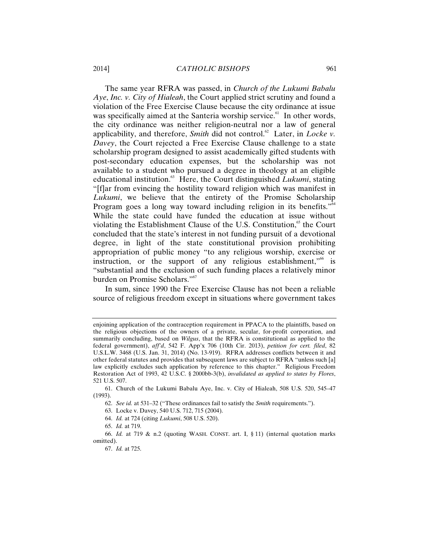The same year RFRA was passed, in *Church of the Lukumi Babalu Aye*, *Inc. v. City of Hialeah*, the Court applied strict scrutiny and found a violation of the Free Exercise Clause because the city ordinance at issue was specifically aimed at the Santeria worship service.<sup>61</sup> In other words, the city ordinance was neither religion-neutral nor a law of general applicability, and therefore, *Smith* did not control.<sup>62</sup> Later, in *Locke v*. *Davey*, the Court rejected a Free Exercise Clause challenge to a state scholarship program designed to assist academically gifted students with post-secondary education expenses, but the scholarship was not available to a student who pursued a degree in theology at an eligible educational institution. $63$  Here, the Court distinguished *Lukumi*, stating "[f]ar from evincing the hostility toward religion which was manifest in *Lukumi*, we believe that the entirety of the Promise Scholarship Program goes a long way toward including religion in its benefits."<sup>64</sup> While the state could have funded the education at issue without violating the Establishment Clause of the U.S. Constitution, $65$  the Court concluded that the state's interest in not funding pursuit of a devotional degree, in light of the state constitutional provision prohibiting appropriation of public money "to any religious worship, exercise or instruction, or the support of any religious establishment, $"$ <sup>66</sup> is "substantial and the exclusion of such funding places a relatively minor burden on Promise Scholars."<sup>67</sup>

In sum, since 1990 the Free Exercise Clause has not been a reliable source of religious freedom except in situations where government takes

enjoining application of the contraception requirement in PPACA to the plaintiffs, based on the religious objections of the owners of a private, secular, for-profit corporation, and summarily concluding, based on *Wilgus*, that the RFRA is constitutional as applied to the federal government), *aff'd*, 542 F. App'x 706 (10th Cir. 2013), *petition for cert. filed*, 82 U.S.L.W. 3468 (U.S. Jan. 31, 2014) (No. 13-919). RFRA addresses conflicts between it and other federal statutes and provides that subsequent laws are subject to RFRA "unless such [a] law explicitly excludes such application by reference to this chapter." Religious Freedom Restoration Act of 1993, 42 U.S.C. § 2000bb-3(b), *invalidated as applied to states by Flores*, 521 U.S. 507.

<sup>61.</sup> Church of the Lukumi Babalu Aye, Inc. v. City of Hialeah, 508 U.S. 520, 545–47 (1993).

<sup>62.</sup> *See id.* at 531–32 ("These ordinances fail to satisfy the *Smith* requirements.").

<sup>63.</sup> Locke v. Davey, 540 U.S. 712, 715 (2004).

<sup>64.</sup> *Id.* at 724 (citing *Lukumi*, 508 U.S. 520).

<sup>65.</sup> *Id.* at 719.

<sup>66.</sup> *Id.* at 719 & n.2 (quoting WASH. CONST. art. I, § 11) (internal quotation marks omitted).

<sup>67.</sup> *Id.* at 725.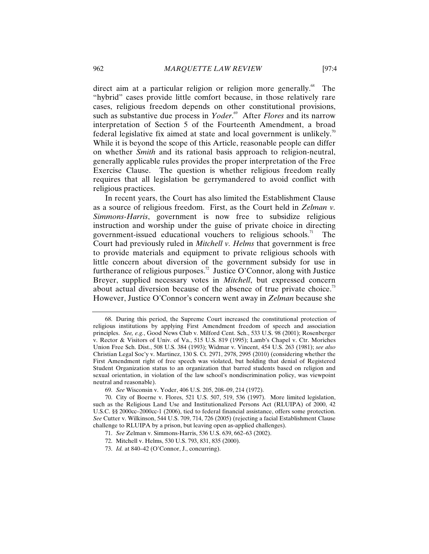direct aim at a particular religion or religion more generally.<sup>68</sup> The "hybrid" cases provide little comfort because, in those relatively rare cases, religious freedom depends on other constitutional provisions, such as substantive due process in *Yoder*.<sup>69</sup> After *Flores* and its narrow interpretation of Section 5 of the Fourteenth Amendment, a broad federal legislative fix aimed at state and local government is unlikely.<sup>70</sup> While it is beyond the scope of this Article, reasonable people can differ on whether *Smith* and its rational basis approach to religion-neutral, generally applicable rules provides the proper interpretation of the Free Exercise Clause. The question is whether religious freedom really requires that all legislation be gerrymandered to avoid conflict with religious practices.

In recent years, the Court has also limited the Establishment Clause as a source of religious freedom. First, as the Court held in *Zelman v. Simmons-Harris*, government is now free to subsidize religious instruction and worship under the guise of private choice in directing government-issued educational vouchers to religious schools.<sup>71</sup> The Court had previously ruled in *Mitchell v. Helms* that government is free to provide materials and equipment to private religious schools with little concern about diversion of the government subsidy for use in furtherance of religious purposes.<sup>72</sup> Justice O'Connor, along with Justice Breyer, supplied necessary votes in *Mitchell*, but expressed concern about actual diversion because of the absence of true private choice.<sup>73</sup> However, Justice O'Connor's concern went away in *Zelman* because she

<sup>68.</sup> During this period, the Supreme Court increased the constitutional protection of religious institutions by applying First Amendment freedom of speech and association principles. *See, e.g.*, Good News Club v. Milford Cent. Sch., 533 U.S. 98 (2001); Rosenberger v. Rector & Visitors of Univ. of Va., 515 U.S. 819 (1995); Lamb's Chapel v. Ctr. Moriches Union Free Sch. Dist., 508 U.S. 384 (1993); Widmar v. Vincent, 454 U.S. 263 (1981); *see also*  Christian Legal Soc'y v. Martinez, 130 S. Ct. 2971, 2978, 2995 (2010) (considering whether the First Amendment right of free speech was violated, but holding that denial of Registered Student Organization status to an organization that barred students based on religion and sexual orientation, in violation of the law school's nondiscrimination policy, was viewpoint neutral and reasonable).

<sup>69.</sup> *See* Wisconsin v. Yoder, 406 U.S. 205, 208–09, 214 (1972).

<sup>70.</sup> City of Boerne v. Flores, 521 U.S. 507, 519, 536 (1997). More limited legislation, such as the Religious Land Use and Institutionalized Persons Act (RLUIPA) of 2000, 42 U.S.C. §§ 2000cc–2000cc-1 (2006), tied to federal financial assistance, offers some protection. *See* Cutter v. Wilkinson, 544 U.S. 709, 714, 726 (2005) (rejecting a facial Establishment Clause challenge to RLUIPA by a prison, but leaving open as-applied challenges).

<sup>71.</sup> *See* Zelman v. Simmons-Harris, 536 U.S. 639, 662–63 (2002).

<sup>72.</sup> Mitchell v. Helms, 530 U.S. 793, 831, 835 (2000).

<sup>73.</sup> *Id.* at 840–42 (O'Connor, J., concurring).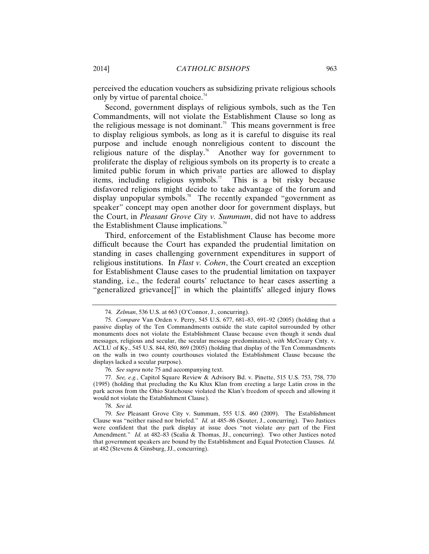perceived the education vouchers as subsidizing private religious schools only by virtue of parental choice.<sup>74</sup>

Second, government displays of religious symbols, such as the Ten Commandments, will not violate the Establishment Clause so long as the religious message is not dominant.<sup>75</sup> This means government is free to display religious symbols, as long as it is careful to disguise its real purpose and include enough nonreligious content to discount the religious nature of the display.<sup>76</sup> Another way for government to proliferate the display of religious symbols on its property is to create a limited public forum in which private parties are allowed to display items, including religious symbols.<sup>77</sup> This is a bit risky because disfavored religions might decide to take advantage of the forum and display unpopular symbols.<sup>78</sup> The recently expanded "government as speaker" concept may open another door for government displays, but the Court, in *Pleasant Grove City v. Summum*, did not have to address the Establishment Clause implications.<sup>79</sup>

Third, enforcement of the Establishment Clause has become more difficult because the Court has expanded the prudential limitation on standing in cases challenging government expenditures in support of religious institutions. In *Flast v. Cohen*, the Court created an exception for Establishment Clause cases to the prudential limitation on taxpayer standing, i.e., the federal courts' reluctance to hear cases asserting a "generalized grievance[]" in which the plaintiffs' alleged injury flows

78. *See id.*

<sup>74.</sup> *Zelman*, 536 U.S. at 663 (O'Connor, J., concurring).

<sup>75.</sup> *Compare* Van Orden v. Perry, 545 U.S. 677, 681–83, 691–92 (2005) (holding that a passive display of the Ten Commandments outside the state capitol surrounded by other monuments does not violate the Establishment Clause because even though it sends dual messages, religious and secular, the secular message predominates), *with* McCreary Cnty. v. ACLU of Ky., 545 U.S. 844, 850, 869 (2005) (holding that display of the Ten Commandments on the walls in two county courthouses violated the Establishment Clause because the displays lacked a secular purpose).

<sup>76.</sup> *See supra* note 75 and accompanying text.

<sup>77.</sup> *See, e.g.*, Capitol Square Review & Advisory Bd. v. Pinette, 515 U.S. 753, 758, 770 (1995) (holding that precluding the Ku Klux Klan from erecting a large Latin cross in the park across from the Ohio Statehouse violated the Klan's freedom of speech and allowing it would not violate the Establishment Clause).

<sup>79.</sup> *See* Pleasant Grove City v. Summum, 555 U.S. 460 (2009). The Establishment Clause was "neither raised nor briefed." *Id.* at 485–86 (Souter, J., concurring). Two Justices were confident that the park display at issue does "not violate *any* part of the First Amendment." *Id.* at 482-83 (Scalia & Thomas, JJ., concurring). Two other Justices noted that government speakers are bound by the Establishment and Equal Protection Clauses. *Id.* at 482 (Stevens & Ginsburg, JJ., concurring).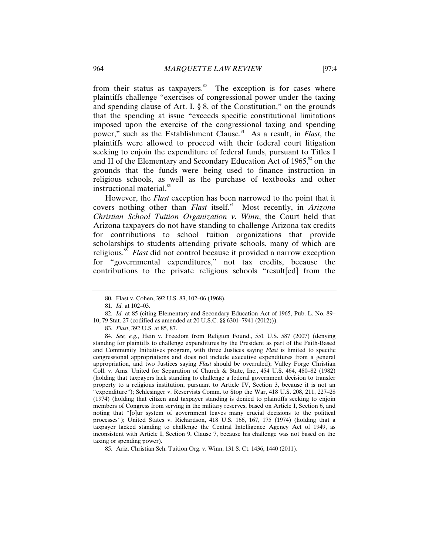from their status as taxpayers.<sup>80</sup> The exception is for cases where plaintiffs challenge "exercises of congressional power under the taxing and spending clause of Art. I, § 8, of the Constitution," on the grounds that the spending at issue "exceeds specific constitutional limitations imposed upon the exercise of the congressional taxing and spending power," such as the Establishment Clause.<sup>81</sup> As a result, in *Flast*, the plaintiffs were allowed to proceed with their federal court litigation seeking to enjoin the expenditure of federal funds, pursuant to Titles I and II of the Elementary and Secondary Education Act of 1965, $\frac{8}{3}$  on the grounds that the funds were being used to finance instruction in religious schools, as well as the purchase of textbooks and other instructional material.<sup>83</sup>

However, the *Flast* exception has been narrowed to the point that it covers nothing other than *Flast* itself.<sup>84</sup> Most recently, in *Arizona Christian School Tuition Organization v. Winn*, the Court held that Arizona taxpayers do not have standing to challenge Arizona tax credits for contributions to school tuition organizations that provide scholarships to students attending private schools, many of which are religious.<sup>85</sup> *Flast* did not control because it provided a narrow exception for "governmental expenditures," not tax credits, because the contributions to the private religious schools "result[ed] from the

<sup>80.</sup> Flast v. Cohen, 392 U.S. 83, 102–06 (1968).

<sup>81.</sup> *Id.* at 102–03.

<sup>82.</sup> *Id.* at 85 (citing Elementary and Secondary Education Act of 1965, Pub. L. No. 89– 10, 79 Stat. 27 (codified as amended at 20 U.S.C. §§ 6301–7941 (2012))).

<sup>83.</sup> *Flast*, 392 U.S. at 85, 87.

<sup>84.</sup> *See, e.g.*, Hein v. Freedom from Religion Found., 551 U.S. 587 (2007) (denying standing for plaintiffs to challenge expenditures by the President as part of the Faith-Based and Community Initiatives program, with three Justices saying *Flast* is limited to specific congressional appropriations and does not include executive expenditures from a general appropriation, and two Justices saying *Flast* should be overruled); Valley Forge Christian Coll. v. Ams. United for Separation of Church & State, Inc., 454 U.S. 464, 480–82 (1982) (holding that taxpayers lack standing to challenge a federal government decision to transfer property to a religious institution, pursuant to Article IV, Section 3, because it is not an "expenditure"); Schlesinger v. Reservists Comm. to Stop the War, 418 U.S. 208, 211, 227–28 (1974) (holding that citizen and taxpayer standing is denied to plaintiffs seeking to enjoin members of Congress from serving in the military reserves, based on Article I, Section 6, and noting that "[o]ur system of government leaves many crucial decisions to the political processes"); United States v. Richardson, 418 U.S. 166, 167, 175 (1974) (holding that a taxpayer lacked standing to challenge the Central Intelligence Agency Act of 1949, as inconsistent with Article I, Section 9, Clause 7, because his challenge was not based on the taxing or spending power).

<sup>85.</sup> Ariz. Christian Sch. Tuition Org. v. Winn, 131 S. Ct. 1436, 1440 (2011).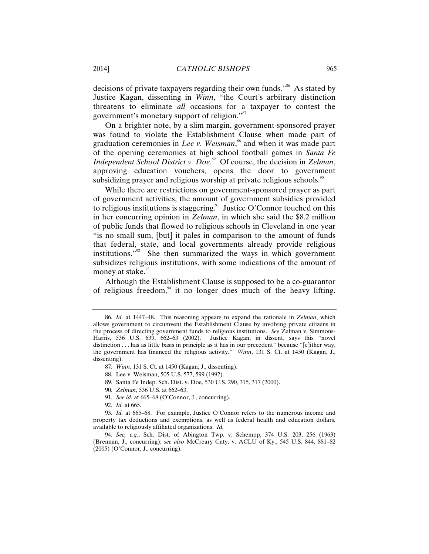decisions of private taxpayers regarding their own funds."<sup>86</sup> As stated by Justice Kagan, dissenting in *Winn*, "the Court's arbitrary distinction threatens to eliminate *all* occasions for a taxpayer to contest the government's monetary support of religion."<sup>87</sup>

On a brighter note, by a slim margin, government-sponsored prayer was found to violate the Establishment Clause when made part of graduation ceremonies in *Lee v. Weisman*, 88 and when it was made part of the opening ceremonies at high school football games in *Santa Fe Independent School District v. Doe*. 89 Of course, the decision in *Zelman*, approving education vouchers, opens the door to government subsidizing prayer and religious worship at private religious schools.<sup>90</sup>

While there are restrictions on government-sponsored prayer as part of government activities, the amount of government subsidies provided to religious institutions is staggering.<sup>91</sup> Justice O'Connor touched on this in her concurring opinion in *Zelman*, in which she said the \$8.2 million of public funds that flowed to religious schools in Cleveland in one year "is no small sum, [but] it pales in comparison to the amount of funds that federal, state, and local governments already provide religious institutions."92 She then summarized the ways in which government subsidizes religious institutions, with some indications of the amount of money at stake.<sup>93</sup>

Although the Establishment Clause is supposed to be a co-guarantor of religious freedom, $94$  it no longer does much of the heavy lifting.

- 88. Lee v. Weisman, 505 U.S. 577, 599 (1992).
- 89. Santa Fe Indep. Sch. Dist. v. Doe, 530 U.S. 290, 315, 317 (2000).
- 90. *Zelman*, 536 U.S. at 662–63.
- 91. *See id.* at 665–68 (O'Connor, J., concurring).
- 92. *Id.* at 665.

<sup>86.</sup> *Id.* at 1447–48. This reasoning appears to expand the rationale in *Zelman*, which allows government to circumvent the Establishment Clause by involving private citizens in the process of directing government funds to religious institutions. *See* Zelman v. Simmons-Harris, 536 U.S. 639, 662–63 (2002). Justice Kagan, in dissent, says this "novel distinction . . . has as little basis in principle as it has in our precedent" because "[e]ither way, the government has financed the religious activity." *Winn*, 131 S. Ct. at 1450 (Kagan, J., dissenting).

<sup>87.</sup> *Winn*, 131 S. Ct. at 1450 (Kagan, J., dissenting).

<sup>93.</sup> *Id.* at 665–68. For example, Justice O'Connor refers to the numerous income and property tax deductions and exemptions, as well as federal health and education dollars, available to religiously affiliated organizations. *Id.*

<sup>94.</sup> *See, e.g.*, Sch. Dist. of Abington Twp. v. Schempp, 374 U.S. 203, 256 (1963) (Brennan, J., concurring); *see also* McCreary Cnty. v. ACLU of Ky., 545 U.S. 844, 881–82 (2005) (O'Connor, J., concurring).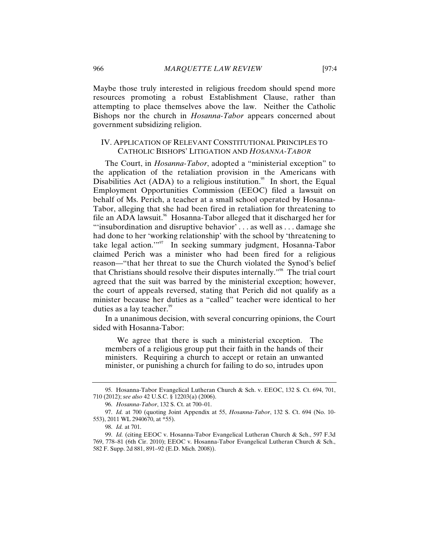Maybe those truly interested in religious freedom should spend more resources promoting a robust Establishment Clause, rather than attempting to place themselves above the law. Neither the Catholic Bishops nor the church in *Hosanna-Tabor* appears concerned about government subsidizing religion.

# IV. APPLICATION OF RELEVANT CONSTITUTIONAL PRINCIPLES TO CATHOLIC BISHOPS' LITIGATION AND *HOSANNA-TABOR*

The Court, in *Hosanna-Tabor*, adopted a "ministerial exception" to the application of the retaliation provision in the Americans with Disabilities Act (ADA) to a religious institution.<sup>95</sup> In short, the Equal Employment Opportunities Commission (EEOC) filed a lawsuit on behalf of Ms. Perich, a teacher at a small school operated by Hosanna-Tabor, alleging that she had been fired in retaliation for threatening to file an ADA lawsuit.<sup>96</sup> Hosanna-Tabor alleged that it discharged her for "'insubordination and disruptive behavior' . . . as well as . . . damage she had done to her 'working relationship' with the school by 'threatening to take legal action."<sup>97</sup> In seeking summary judgment, Hosanna-Tabor claimed Perich was a minister who had been fired for a religious reason—"that her threat to sue the Church violated the Synod's belief that Christians should resolve their disputes internally."98 The trial court agreed that the suit was barred by the ministerial exception; however, the court of appeals reversed, stating that Perich did not qualify as a minister because her duties as a "called" teacher were identical to her duties as a lay teacher.<sup>99</sup>

In a unanimous decision, with several concurring opinions, the Court sided with Hosanna-Tabor:

 We agree that there is such a ministerial exception. The members of a religious group put their faith in the hands of their ministers. Requiring a church to accept or retain an unwanted minister, or punishing a church for failing to do so, intrudes upon

<sup>95.</sup> Hosanna-Tabor Evangelical Lutheran Church & Sch. v. EEOC, 132 S. Ct. 694, 701, 710 (2012); *see also* 42 U.S.C. § 12203(a) (2006).

<sup>96.</sup> *Hosanna-Tabor*, 132 S. Ct. at 700–01.

<sup>97.</sup> *Id.* at 700 (quoting Joint Appendix at 55, *Hosanna-Tabor*, 132 S. Ct. 694 (No. 10- 553), 2011 WL 2940670, at \*55).

<sup>98.</sup> *Id.* at 701.

<sup>99.</sup> *Id.* (citing EEOC v. Hosanna-Tabor Evangelical Lutheran Church & Sch., 597 F.3d 769, 778–81 (6th Cir. 2010); EEOC v. Hosanna-Tabor Evangelical Lutheran Church & Sch., 582 F. Supp. 2d 881, 891–92 (E.D. Mich. 2008)).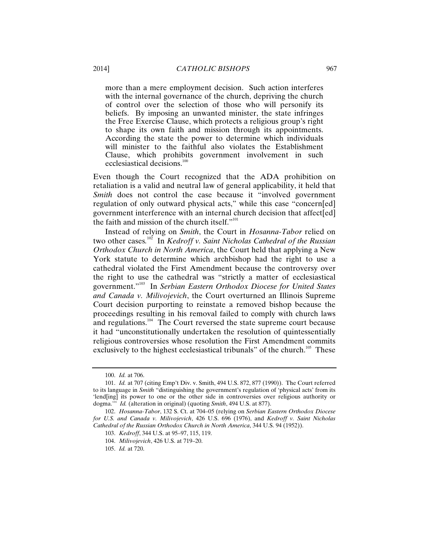more than a mere employment decision. Such action interferes with the internal governance of the church, depriving the church of control over the selection of those who will personify its beliefs. By imposing an unwanted minister, the state infringes the Free Exercise Clause, which protects a religious group's right to shape its own faith and mission through its appointments. According the state the power to determine which individuals will minister to the faithful also violates the Establishment Clause, which prohibits government involvement in such ecclesiastical decisions.<sup>100</sup>

Even though the Court recognized that the ADA prohibition on retaliation is a valid and neutral law of general applicability, it held that *Smith* does not control the case because it "involved government" regulation of only outward physical acts," while this case "concern[ed] government interference with an internal church decision that affect[ed] the faith and mission of the church itself."<sup>101</sup>

Instead of relying on *Smith*, the Court in *Hosanna-Tabor* relied on two other cases.<sup>102</sup> In *Kedroff v. Saint Nicholas Cathedral of the Russian Orthodox Church in North America*, the Court held that applying a New York statute to determine which archbishop had the right to use a cathedral violated the First Amendment because the controversy over the right to use the cathedral was "strictly a matter of ecclesiastical government."103 In *Serbian Eastern Orthodox Diocese for United States and Canada v. Milivojevich*, the Court overturned an Illinois Supreme Court decision purporting to reinstate a removed bishop because the proceedings resulting in his removal failed to comply with church laws and regulations.<sup>104</sup> The Court reversed the state supreme court because it had "unconstitutionally undertaken the resolution of quintessentially religious controversies whose resolution the First Amendment commits exclusively to the highest ecclesiastical tribunals" of the church.<sup>105</sup> These

<sup>100.</sup> *Id.* at 706.

<sup>101.</sup> *Id.* at 707 (citing Emp't Div. v. Smith, 494 U.S. 872, 877 (1990)). The Court referred to its language in *Smith* "distinguishing the government's regulation of 'physical acts' from its 'lend[ing] its power to one or the other side in controversies over religious authority or dogma.'" *Id.* (alteration in original) (quoting *Smith*, 494 U.S. at 877).

<sup>102.</sup> *Hosanna-Tabor*, 132 S. Ct. at 704–05 (relying on *Serbian Eastern Orthodox Diocese for U.S. and Canada v. Milivojevich*, 426 U.S. 696 (1976), and *Kedroff v. Saint Nicholas Cathedral of the Russian Orthodox Church in North America*, 344 U.S. 94 (1952)).

<sup>103.</sup> *Kedroff*, 344 U.S. at 95–97, 115, 119.

<sup>104.</sup> *Milivojevich*, 426 U.S. at 719–20.

<sup>105.</sup> *Id.* at 720.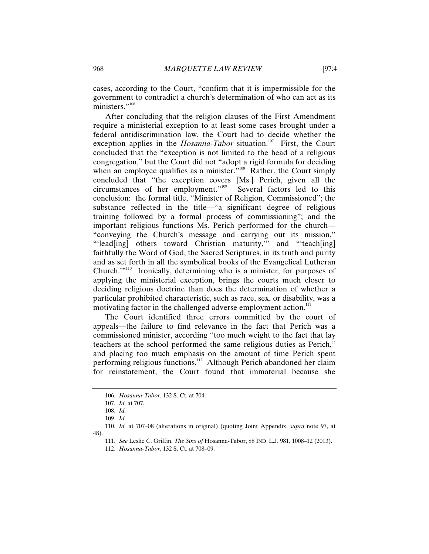cases, according to the Court, "confirm that it is impermissible for the government to contradict a church's determination of who can act as its ministers."<sup>106</sup>

After concluding that the religion clauses of the First Amendment require a ministerial exception to at least some cases brought under a federal antidiscrimination law, the Court had to decide whether the exception applies in the *Hosanna-Tabor* situation.<sup>107</sup> First, the Court concluded that the "exception is not limited to the head of a religious congregation," but the Court did not "adopt a rigid formula for deciding when an employee qualifies as a minister. $v^{108}$  Rather, the Court simply concluded that "the exception covers [Ms.] Perich, given all the circumstances of her employment."109 Several factors led to this conclusion: the formal title, "Minister of Religion, Commissioned"; the substance reflected in the title—"a significant degree of religious training followed by a formal process of commissioning"; and the important religious functions Ms. Perich performed for the church— "conveying the Church's message and carrying out its mission," "'lead[ing] others toward Christian maturity," and "'teach[ing] faithfully the Word of God, the Sacred Scriptures, in its truth and purity and as set forth in all the symbolical books of the Evangelical Lutheran Church."<sup>110</sup> Ironically, determining who is a minister, for purposes of applying the ministerial exception, brings the courts much closer to deciding religious doctrine than does the determination of whether a particular prohibited characteristic, such as race, sex, or disability, was a motivating factor in the challenged adverse employment action.<sup>111</sup>

The Court identified three errors committed by the court of appeals—the failure to find relevance in the fact that Perich was a commissioned minister, according "too much weight to the fact that lay teachers at the school performed the same religious duties as Perich," and placing too much emphasis on the amount of time Perich spent performing religious functions.112 Although Perich abandoned her claim for reinstatement, the Court found that immaterial because she

<sup>106.</sup> *Hosanna-Tabor*, 132 S. Ct. at 704.

<sup>107.</sup> *Id.* at 707.

<sup>108.</sup> *Id.*

<sup>109.</sup> *Id.*

<sup>110.</sup> *Id.* at 707–08 (alterations in original) (quoting Joint Appendix, *supra* note 97, at 48).

<sup>111.</sup> *See* Leslie C. Griffin, *The Sins of* Hosanna-Tabor, 88 IND. L.J. 981, 1008–12 (2013).

<sup>112.</sup> *Hosanna-Tabor*, 132 S. Ct. at 708–09.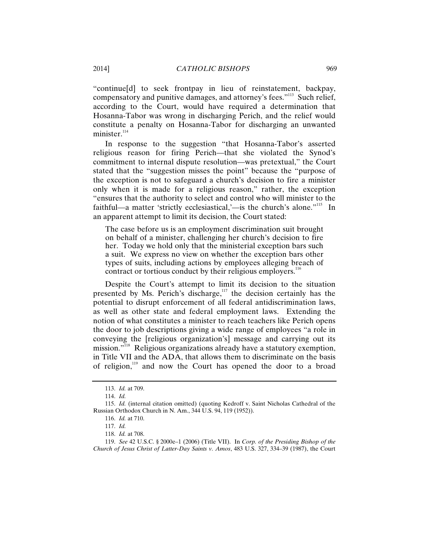"continue[d] to seek frontpay in lieu of reinstatement, backpay, compensatory and punitive damages, and attorney's fees."<sup>113</sup> Such relief, according to the Court, would have required a determination that Hosanna-Tabor was wrong in discharging Perich, and the relief would constitute a penalty on Hosanna-Tabor for discharging an unwanted minister. $114$ 

In response to the suggestion "that Hosanna-Tabor's asserted religious reason for firing Perich—that she violated the Synod's commitment to internal dispute resolution—was pretextual," the Court stated that the "suggestion misses the point" because the "purpose of the exception is not to safeguard a church's decision to fire a minister only when it is made for a religious reason," rather, the exception "ensures that the authority to select and control who will minister to the faithful—a matter 'strictly ecclesiastical,'—is the church's alone."<sup>115</sup> In an apparent attempt to limit its decision, the Court stated:

The case before us is an employment discrimination suit brought on behalf of a minister, challenging her church's decision to fire her. Today we hold only that the ministerial exception bars such a suit. We express no view on whether the exception bars other types of suits, including actions by employees alleging breach of contract or tortious conduct by their religious employers.<sup>11</sup>

Despite the Court's attempt to limit its decision to the situation presented by Ms. Perich's discharge, $117$  the decision certainly has the potential to disrupt enforcement of all federal antidiscrimination laws, as well as other state and federal employment laws. Extending the notion of what constitutes a minister to reach teachers like Perich opens the door to job descriptions giving a wide range of employees "a role in conveying the [religious organization's] message and carrying out its mission."118 Religious organizations already have a statutory exemption, in Title VII and the ADA, that allows them to discriminate on the basis of religion,<sup>119</sup> and now the Court has opened the door to a broad

119. *See* 42 U.S.C. § 2000e–1 (2006) (Title VII). In *Corp. of the Presiding Bishop of the Church of Jesus Christ of Latter-Day Saints v. Amos*, 483 U.S. 327, 334–39 (1987), the Court

<sup>113.</sup> *Id.* at 709.

<sup>114.</sup> *Id.*

<sup>115.</sup> *Id.* (internal citation omitted) (quoting Kedroff v. Saint Nicholas Cathedral of the Russian Orthodox Church in N. Am., 344 U.S. 94, 119 (1952)).

<sup>116.</sup> *Id.* at 710.

<sup>117.</sup> *Id.*

<sup>118.</sup> *Id.* at 708.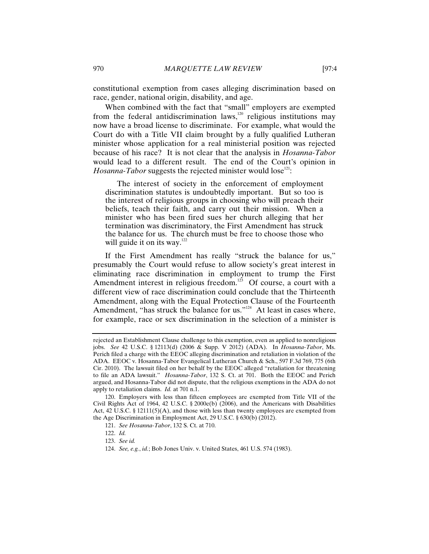constitutional exemption from cases alleging discrimination based on race, gender, national origin, disability, and age.

When combined with the fact that "small" employers are exempted from the federal antidiscrimination laws,<sup>120</sup> religious institutions may now have a broad license to discriminate. For example, what would the Court do with a Title VII claim brought by a fully qualified Lutheran minister whose application for a real ministerial position was rejected because of his race? It is not clear that the analysis in *Hosanna-Tabor*  would lead to a different result. The end of the Court's opinion in *Hosanna-Tabor* suggests the rejected minister would lose<sup>121</sup>:

 The interest of society in the enforcement of employment discrimination statutes is undoubtedly important. But so too is the interest of religious groups in choosing who will preach their beliefs, teach their faith, and carry out their mission. When a minister who has been fired sues her church alleging that her termination was discriminatory, the First Amendment has struck the balance for us. The church must be free to choose those who will guide it on its way. $122$ 

If the First Amendment has really "struck the balance for us," presumably the Court would refuse to allow society's great interest in eliminating race discrimination in employment to trump the First Amendment interest in religious freedom.<sup>123</sup> Of course, a court with a different view of race discrimination could conclude that the Thirteenth Amendment, along with the Equal Protection Clause of the Fourteenth Amendment, "has struck the balance for us."<sup>124</sup> At least in cases where, for example, race or sex discrimination in the selection of a minister is

rejected an Establishment Clause challenge to this exemption, even as applied to nonreligious jobs. *See* 42 U.S.C. § 12113(d) (2006 & Supp. V 2012) (ADA). In *Hosanna-Tabor*, Ms. Perich filed a charge with the EEOC alleging discrimination and retaliation in violation of the ADA. EEOC v. Hosanna-Tabor Evangelical Lutheran Church & Sch., 597 F.3d 769, 775 (6th Cir. 2010). The lawsuit filed on her behalf by the EEOC alleged "retaliation for threatening to file an ADA lawsuit." *Hosanna-Tabor*, 132 S. Ct. at 701. Both the EEOC and Perich argued, and Hosanna-Tabor did not dispute, that the religious exemptions in the ADA do not apply to retaliation claims. *Id.* at 701 n.1.

<sup>120.</sup> Employers with less than fifteen employees are exempted from Title VII of the Civil Rights Act of 1964, 42 U.S.C. § 2000e(b) (2006), and the Americans with Disabilities Act,  $42$  U.S.C. § 12111(5)(A), and those with less than twenty employees are exempted from the Age Discrimination in Employment Act, 29 U.S.C. § 630(b) (2012).

<sup>121.</sup> *See Hosanna-Tabor*, 132 S. Ct. at 710.

<sup>122.</sup> *Id.*

<sup>123.</sup> *See id.* 

<sup>124.</sup> *See, e.g.*, *id.*; Bob Jones Univ. v. United States, 461 U.S. 574 (1983).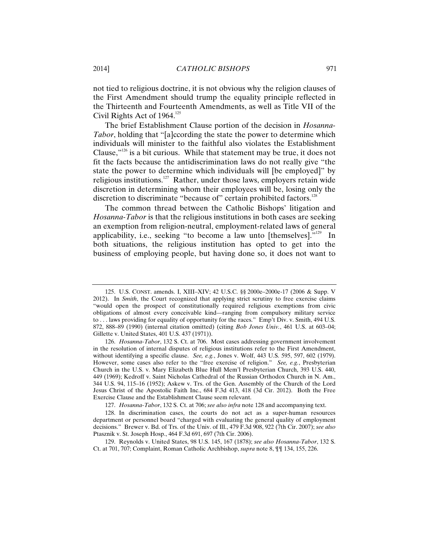not tied to religious doctrine, it is not obvious why the religion clauses of the First Amendment should trump the equality principle reflected in the Thirteenth and Fourteenth Amendments, as well as Title VII of the Civil Rights Act of  $1964$ <sup>125</sup>

The brief Establishment Clause portion of the decision in *Hosanna-Tabor*, holding that "[a]ccording the state the power to determine which individuals will minister to the faithful also violates the Establishment Clause," $126$  is a bit curious. While that statement may be true, it does not fit the facts because the antidiscrimination laws do not really give "the state the power to determine which individuals will [be employed]" by religious institutions.<sup>127</sup> Rather, under those laws, employers retain wide discretion in determining whom their employees will be, losing only the discretion to discriminate "because of" certain prohibited factors.<sup>128</sup>

The common thread between the Catholic Bishops' litigation and *Hosanna-Tabor* is that the religious institutions in both cases are seeking an exemption from religion-neutral, employment-related laws of general applicability, i.e., seeking "to become a law unto [themselves]." $129$  In both situations, the religious institution has opted to get into the business of employing people, but having done so, it does not want to

127. *Hosanna-Tabor*, 132 S. Ct. at 706; *see also infra* note 128 and accompanying text.

<sup>125.</sup> U.S. CONST. amends. I, XIII–XIV; 42 U.S.C. §§ 2000e–2000e-17 (2006 & Supp. V 2012). In *Smith*, the Court recognized that applying strict scrutiny to free exercise claims "would open the prospect of constitutionally required religious exemptions from civic obligations of almost every conceivable kind—ranging from compulsory military service to . . . laws providing for equality of opportunity for the races." Emp't Div. v. Smith, 494 U.S. 872, 888–89 (1990) (internal citation omitted) (citing *Bob Jones Univ.*, 461 U.S. at 603–04; Gillette v. United States, 401 U.S. 437 (1971)).

<sup>126.</sup> *Hosanna-Tabor*, 132 S. Ct. at 706. Most cases addressing government involvement in the resolution of internal disputes of religious institutions refer to the First Amendment, without identifying a specific clause. *See, e.g.*, Jones v. Wolf, 443 U.S. 595, 597, 602 (1979). However, some cases also refer to the "free exercise of religion." *See, e.g.*, Presbyterian Church in the U.S. v. Mary Elizabeth Blue Hull Mem'l Presbyterian Church, 393 U.S. 440, 449 (1969); Kedroff v. Saint Nicholas Cathedral of the Russian Orthodox Church in N. Am., 344 U.S. 94, 115–16 (1952); Askew v. Trs. of the Gen. Assembly of the Church of the Lord Jesus Christ of the Apostolic Faith Inc., 684 F.3d 413, 418 (3d Cir. 2012). Both the Free Exercise Clause and the Establishment Clause seem relevant.

<sup>128.</sup> In discrimination cases, the courts do not act as a super-human resources department or personnel board "charged with evaluating the general quality of employment decisions." Brewer v. Bd. of Trs. of the Univ. of Ill., 479 F.3d 908, 922 (7th Cir. 2007); *see also* Ptasznik v. St. Joseph Hosp., 464 F.3d 691, 697 (7th Cir. 2006).

<sup>129.</sup> Reynolds v. United States, 98 U.S. 145, 167 (1878); *see also Hosanna-Tabor*, 132 S. Ct. at 701, 707; Complaint, Roman Catholic Archbishop, *supra* note 8, ¶¶ 134, 155, 226.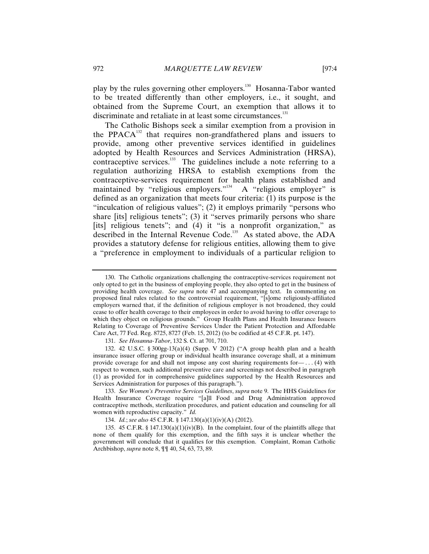play by the rules governing other employers.<sup>130</sup> Hosanna-Tabor wanted to be treated differently than other employers, i.e., it sought, and obtained from the Supreme Court, an exemption that allows it to discriminate and retaliate in at least some circumstances. $131$ 

The Catholic Bishops seek a similar exemption from a provision in the PPACA $^{132}$  that requires non-grandfathered plans and issuers to provide, among other preventive services identified in guidelines adopted by Health Resources and Services Administration (HRSA), contraceptive services.<sup>133</sup> The guidelines include a note referring to a regulation authorizing HRSA to establish exemptions from the contraceptive-services requirement for health plans established and maintained by "religious employers."<sup>134</sup> A "religious employer" is defined as an organization that meets four criteria: (1) its purpose is the "inculcation of religious values"; (2) it employs primarily "persons who share [its] religious tenets"; (3) it "serves primarily persons who share [its] religious tenets"; and (4) it "is a nonprofit organization," as described in the Internal Revenue Code.<sup>135</sup> As stated above, the ADA provides a statutory defense for religious entities, allowing them to give a "preference in employment to individuals of a particular religion to

<sup>130.</sup> The Catholic organizations challenging the contraceptive-services requirement not only opted to get in the business of employing people, they also opted to get in the business of providing health coverage. *See supra* note 47 and accompanying text. In commenting on proposed final rules related to the controversial requirement, "[s]ome religiously-affiliated employers warned that, if the definition of religious employer is not broadened, they could cease to offer health coverage to their employees in order to avoid having to offer coverage to which they object on religious grounds." Group Health Plans and Health Insurance Issuers Relating to Coverage of Preventive Services Under the Patient Protection and Affordable Care Act, 77 Fed. Reg. 8725, 8727 (Feb. 15, 2012) (to be codified at 45 C.F.R. pt. 147).

<sup>131.</sup> *See Hosanna-Tabor*, 132 S. Ct. at 701, 710.

<sup>132. 42</sup> U.S.C. § 300gg-13(a)(4) (Supp. V 2012) ("A group health plan and a health insurance issuer offering group or individual health insurance coverage shall, at a minimum provide coverage for and shall not impose any cost sharing requirements for— $\dots$  (4) with respect to women, such additional preventive care and screenings not described in paragraph (1) as provided for in comprehensive guidelines supported by the Health Resources and Services Administration for purposes of this paragraph.").

<sup>133.</sup> *See Women's Preventive Services Guidelines*, *supra* note 9. The HHS Guidelines for Health Insurance Coverage require "[a]ll Food and Drug Administration approved contraceptive methods, sterilization procedures, and patient education and counseling for all women with reproductive capacity." *Id.* 

<sup>134.</sup> *Id.*; *see also* 45 C.F.R. § 147.130(a)(1)(iv)(A) (2012).

<sup>135. 45</sup> C.F.R. § 147.130(a)(1)(iv)(B). In the complaint, four of the plaintiffs allege that none of them qualify for this exemption, and the fifth says it is unclear whether the government will conclude that it qualifies for this exemption. Complaint, Roman Catholic Archbishop, *supra* note 8, ¶¶ 40, 54, 63, 73, 89.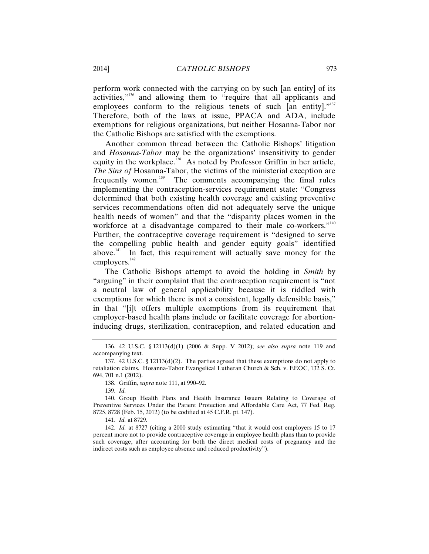perform work connected with the carrying on by such [an entity] of its activities,"<sup>136</sup> and allowing them to "require that all applicants and employees conform to the religious tenets of such [an entity]."<sup>137</sup> Therefore, both of the laws at issue, PPACA and ADA, include exemptions for religious organizations, but neither Hosanna-Tabor nor the Catholic Bishops are satisfied with the exemptions.

Another common thread between the Catholic Bishops' litigation and *Hosanna-Tabor* may be the organizations' insensitivity to gender equity in the workplace.<sup>138</sup> As noted by Professor Griffin in her article, *The Sins of* Hosanna-Tabor, the victims of the ministerial exception are frequently women.<sup>139</sup> The comments accompanying the final rules implementing the contraception-services requirement state: "Congress determined that both existing health coverage and existing preventive services recommendations often did not adequately serve the unique health needs of women" and that the "disparity places women in the workforce at a disadvantage compared to their male co-workers."<sup>140</sup> Further, the contraceptive coverage requirement is "designed to serve the compelling public health and gender equity goals" identified above.<sup>141</sup> In fact, this requirement will actually save money for the employers.<sup>142</sup>

The Catholic Bishops attempt to avoid the holding in *Smith* by "arguing" in their complaint that the contraception requirement is "not a neutral law of general applicability because it is riddled with exemptions for which there is not a consistent, legally defensible basis," in that "[i]t offers multiple exemptions from its requirement that employer-based health plans include or facilitate coverage for abortioninducing drugs, sterilization, contraception, and related education and

<sup>136. 42</sup> U.S.C. § 12113(d)(1) (2006 & Supp. V 2012); *see also supra* note 119 and accompanying text.

<sup>137. 42</sup> U.S.C. § 12113(d)(2). The parties agreed that these exemptions do not apply to retaliation claims. Hosanna-Tabor Evangelical Lutheran Church & Sch. v. EEOC, 132 S. Ct. 694, 701 n.1 (2012).

<sup>138.</sup> Griffin, *supra* note 111, at 990–92.

<sup>139.</sup> *Id.*

<sup>140.</sup> Group Health Plans and Health Insurance Issuers Relating to Coverage of Preventive Services Under the Patient Protection and Affordable Care Act, 77 Fed. Reg. 8725, 8728 (Feb. 15, 2012) (to be codified at 45 C.F.R. pt. 147).

<sup>141.</sup> *Id.* at 8729.

<sup>142.</sup> *Id.* at 8727 (citing a 2000 study estimating "that it would cost employers 15 to 17 percent more not to provide contraceptive coverage in employee health plans than to provide such coverage, after accounting for both the direct medical costs of pregnancy and the indirect costs such as employee absence and reduced productivity").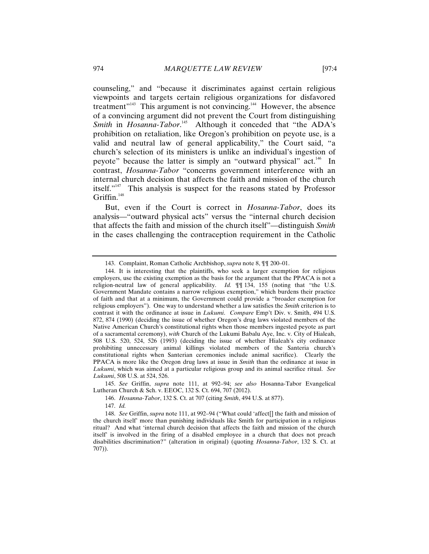counseling," and "because it discriminates against certain religious viewpoints and targets certain religious organizations for disfavored treatment"<sup>143</sup> This argument is not convincing.<sup>144</sup> However, the absence of a convincing argument did not prevent the Court from distinguishing *Smith* in *Hosanna-Tabor*.<sup>145</sup> Although it conceded that "the ADA's prohibition on retaliation, like Oregon's prohibition on peyote use, is a valid and neutral law of general applicability," the Court said, "a church's selection of its ministers is unlike an individual's ingestion of peyote" because the latter is simply an "outward physical" act.<sup>146</sup> In contrast, *Hosanna-Tabor* "concerns government interference with an internal church decision that affects the faith and mission of the church itself."147 This analysis is suspect for the reasons stated by Professor Griffin. $148$ 

But, even if the Court is correct in *Hosanna-Tabor*, does its analysis—"outward physical acts" versus the "internal church decision that affects the faith and mission of the church itself"—distinguish *Smith* in the cases challenging the contraception requirement in the Catholic

<sup>143.</sup> Complaint, Roman Catholic Archbishop, *supra* note 8, ¶¶ 200–01.

<sup>144.</sup> It is interesting that the plaintiffs, who seek a larger exemption for religious employers, use the existing exemption as the basis for the argument that the PPACA is not a religion-neutral law of general applicability. *Id.* ¶¶ 134, 155 (noting that "the U.S. Government Mandate contains a narrow religious exemption," which burdens their practice of faith and that at a minimum, the Government could provide a "broader exemption for religious employers"). One way to understand whether a law satisfies the *Smith* criterion is to contrast it with the ordinance at issue in *Lukumi*. *Compare* Emp't Div. v. Smith, 494 U.S. 872, 874 (1990) (deciding the issue of whether Oregon's drug laws violated members of the Native American Church's constitutional rights when those members ingested peyote as part of a sacramental ceremony), *with* Church of the Lukumi Babalu Aye, Inc. v. City of Hialeah, 508 U.S. 520, 524, 526 (1993) (deciding the issue of whether Hialeah's city ordinance prohibiting unnecessary animal killings violated members of the Santeria church's constitutional rights when Santerian ceremonies include animal sacrifice).Clearly the PPACA is more like the Oregon drug laws at issue in *Smith* than the ordinance at issue in *Lukumi*, which was aimed at a particular religious group and its animal sacrifice ritual. *See Lukumi*, 508 U.S. at 524, 526.

<sup>145.</sup> *See* Griffin, *supra* note 111, at 992–94; *see also* Hosanna-Tabor Evangelical Lutheran Church & Sch. v. EEOC, 132 S. Ct. 694, 707 (2012).

<sup>146.</sup> *Hosanna-Tabor*, 132 S. Ct. at 707 (citing *Smith*, 494 U.S. at 877).

<sup>147.</sup> *Id.*

<sup>148.</sup> *See* Griffin, *supra* note 111, at 992–94 ("What could 'affect[] the faith and mission of the church itself' more than punishing individuals like Smith for participation in a religious ritual? And what 'internal church decision that affects the faith and mission of the church itself' is involved in the firing of a disabled employee in a church that does not preach disabilities discrimination?" (alteration in original) (quoting *Hosanna-Tabor*, 132 S. Ct. at 707)).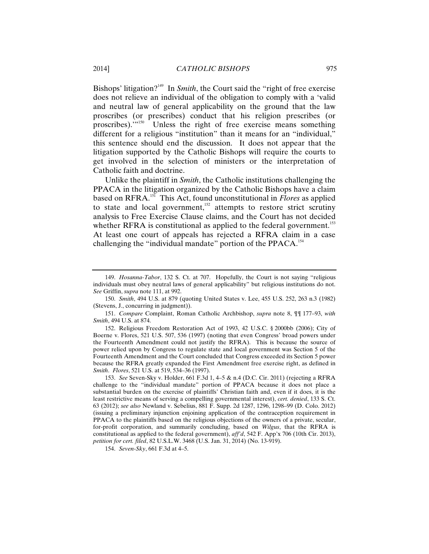Bishops' litigation?<sup>149</sup> In *Smith*, the Court said the "right of free exercise" does not relieve an individual of the obligation to comply with a 'valid and neutral law of general applicability on the ground that the law proscribes (or prescribes) conduct that his religion prescribes (or proscribes)."<sup>150</sup> Unless the right of free exercise means something different for a religious "institution" than it means for an "individual," this sentence should end the discussion. It does not appear that the litigation supported by the Catholic Bishops will require the courts to get involved in the selection of ministers or the interpretation of Catholic faith and doctrine.

Unlike the plaintiff in *Smith*, the Catholic institutions challenging the PPACA in the litigation organized by the Catholic Bishops have a claim based on RFRA.151 This Act, found unconstitutional in *Flores* as applied to state and local government,<sup>152</sup> attempts to restore strict scrutiny analysis to Free Exercise Clause claims, and the Court has not decided whether RFRA is constitutional as applied to the federal government. $^{153}$ At least one court of appeals has rejected a RFRA claim in a case challenging the "individual mandate" portion of the PPACA.<sup>154</sup>

<sup>149.</sup> *Hosanna-Tabor*, 132 S. Ct. at 707. Hopefully, the Court is not saying "religious individuals must obey neutral laws of general applicability" but religious institutions do not. *See* Griffin, *supra* note 111, at 992.

<sup>150.</sup> *Smith*, 494 U.S. at 879 (quoting United States v. Lee, 455 U.S. 252, 263 n.3 (1982) (Stevens, J., concurring in judgment)).

<sup>151.</sup> *Compare* Complaint, Roman Catholic Archbishop, *supra* note 8, ¶¶ 177–93, *with Smith*, 494 U.S. at 874.

<sup>152.</sup> Religious Freedom Restoration Act of 1993, 42 U.S.C. § 2000bb (2006); City of Boerne v. Flores, 521 U.S. 507, 536 (1997) (noting that even Congress' broad powers under the Fourteenth Amendment could not justify the RFRA). This is because the source of power relied upon by Congress to regulate state and local government was Section 5 of the Fourteenth Amendment and the Court concluded that Congress exceeded its Section 5 power because the RFRA greatly expanded the First Amendment free exercise right, as defined in *Smith*. *Flores*, 521 U.S. at 519, 534–36 (1997).

<sup>153.</sup> *See* Seven-Sky v. Holder, 661 F.3d 1, 4–5 & n.4 (D.C. Cir. 2011) (rejecting a RFRA challenge to the "individual mandate" portion of PPACA because it does not place a substantial burden on the exercise of plaintiffs' Christian faith and, even if it does, it is the least restrictive means of serving a compelling governmental interest), *cert. denied*, 133 S. Ct. 63 (2012); *see also* Newland v. Sebelius, 881 F. Supp. 2d 1287, 1296, 1298–99 (D. Colo. 2012) (issuing a preliminary injunction enjoining application of the contraception requirement in PPACA to the plaintiffs based on the religious objections of the owners of a private, secular, for-profit corporation, and summarily concluding, based on *Wilgus*, that the RFRA is constitutional as applied to the federal government), *aff'd*, 542 F. App'x 706 (10th Cir. 2013), *petition for cert. filed*, 82 U.S.L.W. 3468 (U.S. Jan. 31, 2014) (No. 13-919).

<sup>154.</sup> *Seven-Sky*, 661 F.3d at 4–5.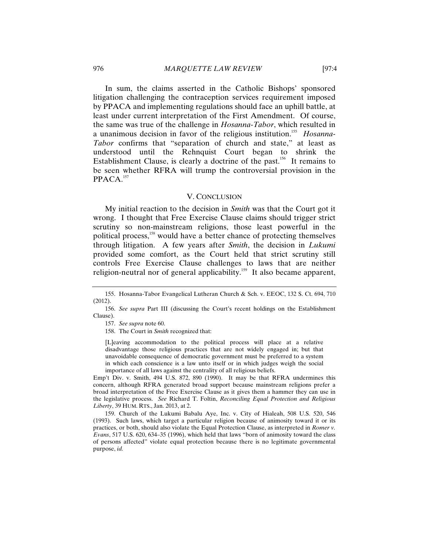In sum, the claims asserted in the Catholic Bishops' sponsored litigation challenging the contraception services requirement imposed by PPACA and implementing regulations should face an uphill battle, at least under current interpretation of the First Amendment. Of course, the same was true of the challenge in *Hosanna-Tabor*, which resulted in a unanimous decision in favor of the religious institution.<sup>155</sup> Hosanna-*Tabor* confirms that "separation of church and state," at least as understood until the Rehnquist Court began to shrink the Establishment Clause, is clearly a doctrine of the past.<sup>156</sup> It remains to be seen whether RFRA will trump the controversial provision in the PPACA.<sup>157</sup>

# V. CONCLUSION

My initial reaction to the decision in *Smith* was that the Court got it wrong. I thought that Free Exercise Clause claims should trigger strict scrutiny so non-mainstream religions, those least powerful in the political process,<sup>158</sup> would have a better chance of protecting themselves through litigation. A few years after *Smith*, the decision in *Lukumi* provided some comfort, as the Court held that strict scrutiny still controls Free Exercise Clause challenges to laws that are neither religion-neutral nor of general applicability.<sup>159</sup> It also became apparent,

[L]eaving accommodation to the political process will place at a relative disadvantage those religious practices that are not widely engaged in; but that unavoidable consequence of democratic government must be preferred to a system in which each conscience is a law unto itself or in which judges weigh the social importance of all laws against the centrality of all religious beliefs.

Emp't Div. v. Smith, 494 U.S. 872, 890 (1990). It may be that RFRA undermines this concern, although RFRA generated broad support because mainstream religions prefer a broad interpretation of the Free Exercise Clause as it gives them a hammer they can use in the legislative process. *See* Richard T. Foltin, *Reconciling Equal Protection and Religious Liberty*, 39 HUM. RTS., Jan. 2013, at 2.

159. Church of the Lukumi Babalu Aye, Inc. v. City of Hialeah, 508 U.S. 520, 546 (1993). Such laws, which target a particular religion because of animosity toward it or its practices, or both, should also violate the Equal Protection Clause, as interpreted in *Romer v. Evans*, 517 U.S. 620, 634–35 (1996), which held that laws "born of animosity toward the class of persons affected" violate equal protection because there is no legitimate governmental purpose, *id.*

<sup>155.</sup> Hosanna-Tabor Evangelical Lutheran Church & Sch. v. EEOC, 132 S. Ct. 694, 710 (2012).

<sup>156.</sup> *See supra* Part III (discussing the Court's recent holdings on the Establishment Clause).

<sup>157.</sup> *See supra* note 60.

<sup>158.</sup> The Court in *Smith* recognized that: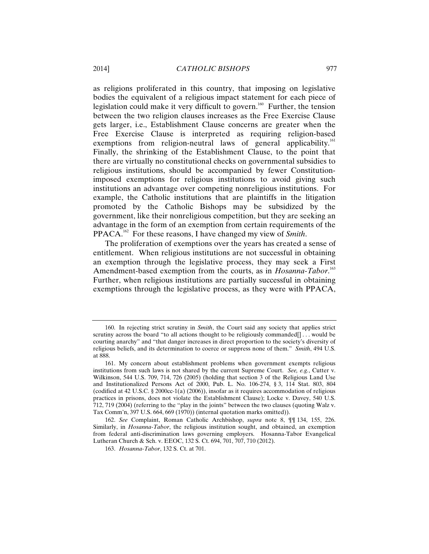as religions proliferated in this country, that imposing on legislative bodies the equivalent of a religious impact statement for each piece of legislation could make it very difficult to govern.<sup>160</sup> Further, the tension between the two religion clauses increases as the Free Exercise Clause gets larger, i.e., Establishment Clause concerns are greater when the Free Exercise Clause is interpreted as requiring religion-based exemptions from religion-neutral laws of general applicability.<sup>161</sup> Finally, the shrinking of the Establishment Clause, to the point that there are virtually no constitutional checks on governmental subsidies to religious institutions, should be accompanied by fewer Constitutionimposed exemptions for religious institutions to avoid giving such institutions an advantage over competing nonreligious institutions. For example, the Catholic institutions that are plaintiffs in the litigation promoted by the Catholic Bishops may be subsidized by the government, like their nonreligious competition, but they are seeking an advantage in the form of an exemption from certain requirements of the PPACA.<sup>162</sup> For these reasons, I have changed my view of *Smith*.

The proliferation of exemptions over the years has created a sense of entitlement. When religious institutions are not successful in obtaining an exemption through the legislative process, they may seek a First Amendment-based exemption from the courts, as in *Hosanna-Tabor*. 163 Further, when religious institutions are partially successful in obtaining exemptions through the legislative process, as they were with PPACA,

<sup>160.</sup> In rejecting strict scrutiny in *Smith*, the Court said any society that applies strict scrutiny across the board "to all actions thought to be religiously commanded... would be courting anarchy" and "that danger increases in direct proportion to the society's diversity of religious beliefs, and its determination to coerce or suppress none of them." *Smith*, 494 U.S. at 888.

<sup>161.</sup> My concern about establishment problems when government exempts religious institutions from such laws is not shared by the current Supreme Court. *See, e.g.*, Cutter v. Wilkinson, 544 U.S. 709, 714, 726 (2005) (holding that section 3 of the Religious Land Use and Institutionalized Persons Act of 2000, Pub. L. No. 106-274, § 3, 114 Stat. 803, 804 (codified at 42 U.S.C.  $\S$  2000cc-1(a) (2006)), insofar as it requires accommodation of religious practices in prisons, does not violate the Establishment Clause); Locke v. Davey, 540 U.S. 712, 719 (2004) (referring to the "play in the joints" between the two clauses (quoting Walz v. Tax Comm'n, 397 U.S. 664, 669 (1970)) (internal quotation marks omitted)).

<sup>162.</sup> *See* Complaint, Roman Catholic Archbishop, *supra* note 8, ¶¶ 134, 155, 226. Similarly, in *Hosanna-Tabor*, the religious institution sought, and obtained, an exemption from federal anti-discrimination laws governing employers. Hosanna-Tabor Evangelical Lutheran Church & Sch. v. EEOC, 132 S. Ct. 694, 701, 707, 710 (2012).

<sup>163.</sup> *Hosanna-Tabor*, 132 S. Ct. at 701.